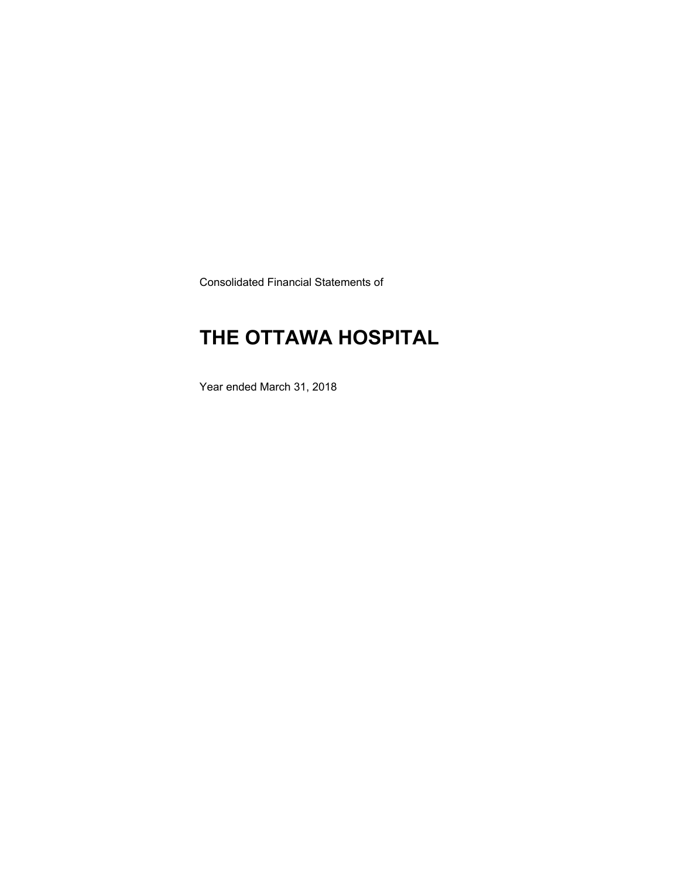Consolidated Financial Statements of

# **THE OTTAWA HOSPITAL**

Year ended March 31, 2018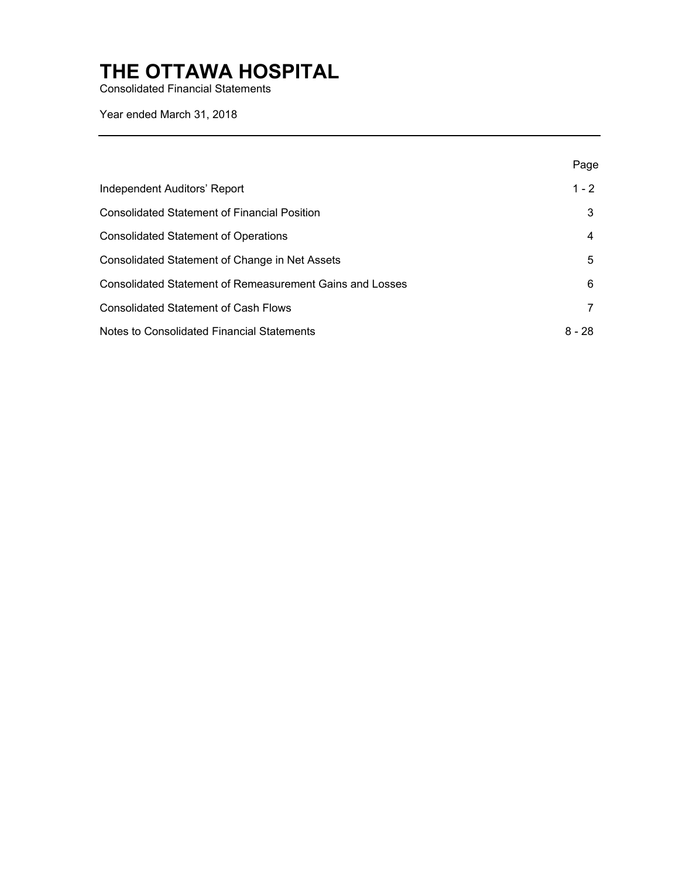Consolidated Financial Statements

Year ended March 31, 2018

|                                                                 | Page    |
|-----------------------------------------------------------------|---------|
| Independent Auditors' Report                                    | $1 - 2$ |
| <b>Consolidated Statement of Financial Position</b>             |         |
| <b>Consolidated Statement of Operations</b>                     | 4       |
| Consolidated Statement of Change in Net Assets                  | 5       |
| <b>Consolidated Statement of Remeasurement Gains and Losses</b> | 6       |
| <b>Consolidated Statement of Cash Flows</b>                     |         |
| Notes to Consolidated Financial Statements                      | 8 - 28  |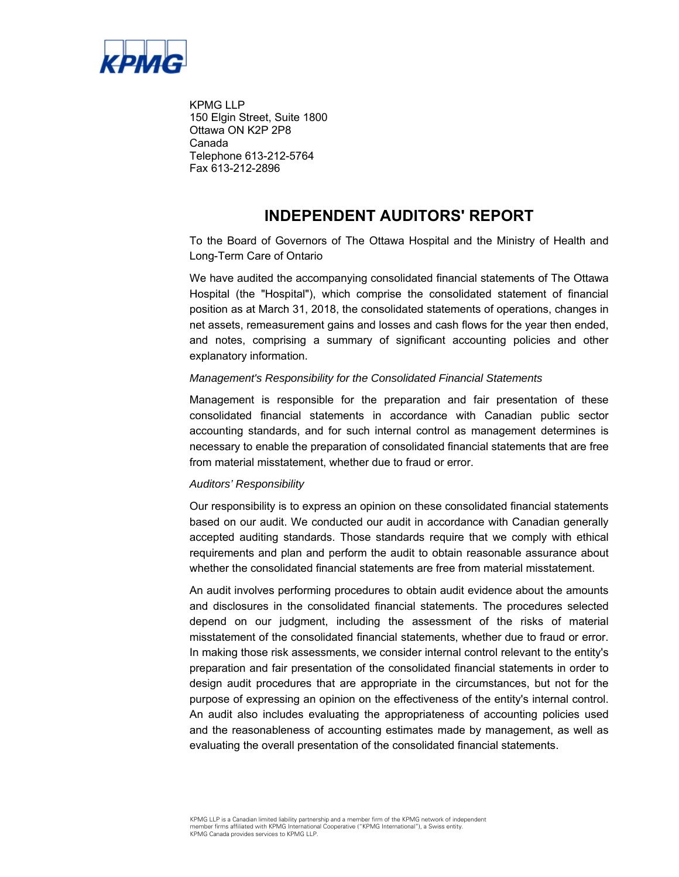

KPMG LLP 150 Elgin Street, Suite 1800 Ottawa ON K2P 2P8 Canada Telephone 613-212-5764 Fax 613-212-2896

### **INDEPENDENT AUDITORS' REPORT**

 To the Board of Governors of The Ottawa Hospital and the Ministry of Health and Long-Term Care of Ontario

 net assets, remeasurement gains and losses and cash flows for the year then ended, We have audited the accompanying consolidated financial statements of The Ottawa Hospital (the "Hospital"), which comprise the consolidated statement of financial position as at March 31, 2018, the consolidated statements of operations, changes in and notes, comprising a summary of significant accounting policies and other explanatory information.

### *Management's Responsibility for the Consolidated Financial Statements*

Management is responsible for the preparation and fair presentation of these consolidated financial statements in accordance with Canadian public sector accounting standards, and for such internal control as management determines is necessary to enable the preparation of consolidated financial statements that are free from material misstatement, whether due to fraud or error.

#### *Auditors' Responsibility*

Our responsibility is to express an opinion on these consolidated financial statements based on our audit. We conducted our audit in accordance with Canadian generally accepted auditing standards. Those standards require that we comply with ethical requirements and plan and perform the audit to obtain reasonable assurance about whether the consolidated financial statements are free from material misstatement.

 misstatement of the consolidated financial statements, whether due to fraud or error. In making those risk assessments, we consider internal control relevant to the entity's preparation and fair presentation of the consolidated financial statements in order to purpose of expressing an opinion on the effectiveness of the entity's internal control. An audit involves performing procedures to obtain audit evidence about the amounts and disclosures in the consolidated financial statements. The procedures selected depend on our judgment, including the assessment of the risks of material design audit procedures that are appropriate in the circumstances, but not for the An audit also includes evaluating the appropriateness of accounting policies used and the reasonableness of accounting estimates made by management, as well as evaluating the overall presentation of the consolidated financial statements.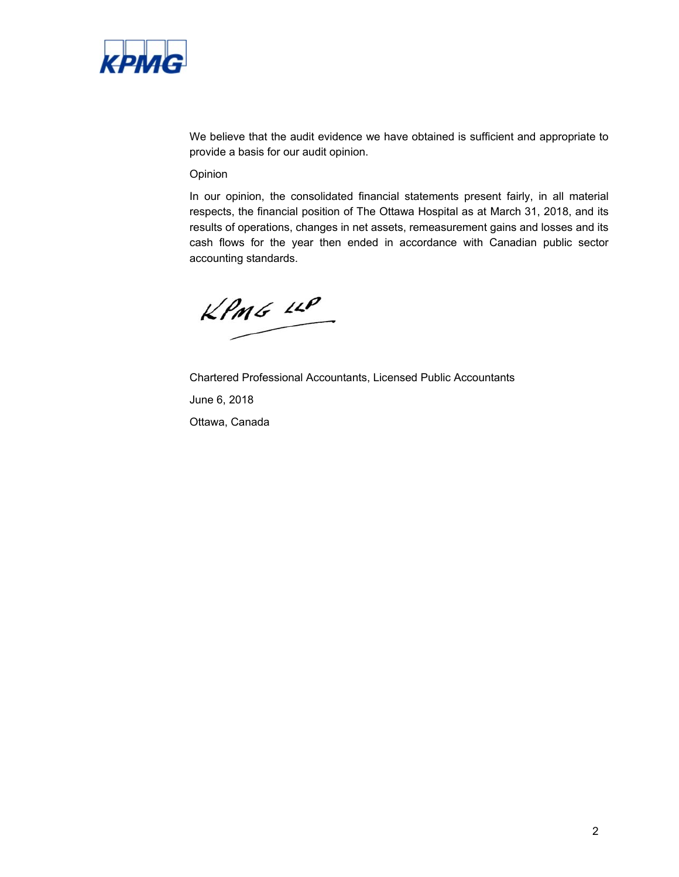

We believe that the audit evidence we have obtained is sufficient and appropriate to provide a basis for our audit opinion.

#### Opinion

In our opinion, the consolidated financial statements present fairly, in all material respects, the financial position of The Ottawa Hospital as at March 31, 2018, and its results of operations, changes in net assets, remeasurement gains and losses and its cash flows for the year then ended in accordance with Canadian public sector accounting standards.

 $KPMG$  14P

Chartered Professional Accountants, Licensed Public Accountants June 6, 2018 Ottawa, Canada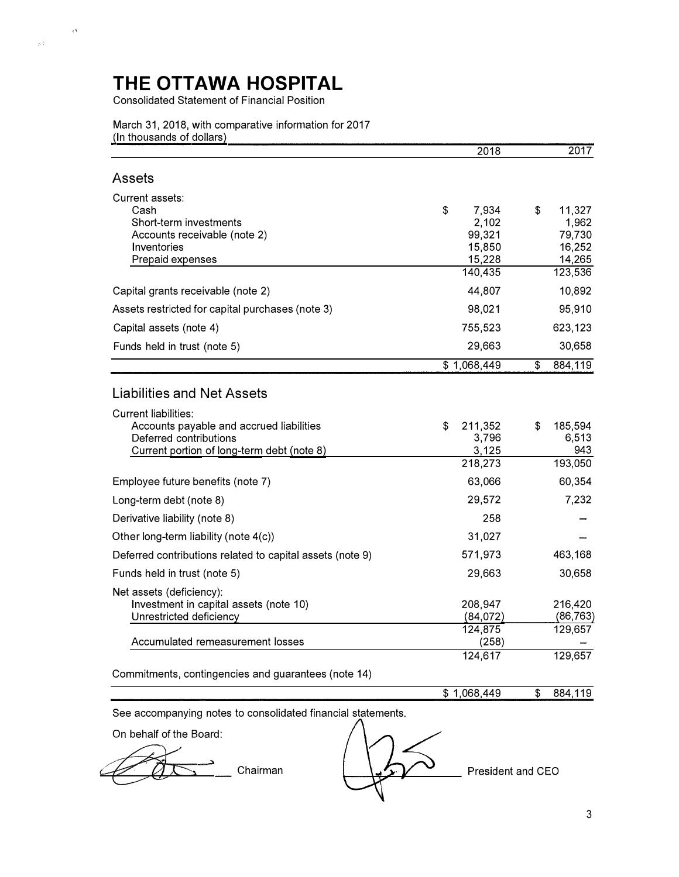Consolidated Statement of Financial Position

 $\frac{1}{\sqrt{2\pi}}\int_{\mathbb{R}^{3}_{+}}\frac{1}{\sqrt{2\pi}}\,d\mu_{\mathbb{R}^{3}_{+}}\,d\mu_{\mathbb{R}^{3}_{+}}$ 

#### March 31, 2018, with comparative information for 2017 (In thousands of dollars)

|                                                                                                                                                 | 2018                                                          | 2017                                                           |
|-------------------------------------------------------------------------------------------------------------------------------------------------|---------------------------------------------------------------|----------------------------------------------------------------|
| Assets                                                                                                                                          |                                                               |                                                                |
| Current assets:<br>Cash<br>Short-term investments<br>Accounts receivable (note 2)<br>Inventories<br>Prepaid expenses                            | \$<br>7,934<br>2,102<br>99,321<br>15,850<br>15,228<br>140,435 | \$<br>11,327<br>1,962<br>79,730<br>16,252<br>14,265<br>123,536 |
| Capital grants receivable (note 2)                                                                                                              | 44,807                                                        | 10,892                                                         |
| Assets restricted for capital purchases (note 3)                                                                                                | 98,021                                                        | 95,910                                                         |
| Capital assets (note 4)                                                                                                                         | 755,523                                                       | 623,123                                                        |
| Funds held in trust (note 5)                                                                                                                    | 29,663                                                        | 30,658                                                         |
|                                                                                                                                                 | \$1,068,449                                                   | 884,119<br>\$                                                  |
| <b>Liabilities and Net Assets</b>                                                                                                               |                                                               |                                                                |
| <b>Current liabilities:</b><br>Accounts payable and accrued liabilities<br>Deferred contributions<br>Current portion of long-term debt (note 8) | \$<br>211,352<br>3,796<br>3,125<br>218,273                    | 185,594<br>\$<br>6,513<br>943<br>193,050                       |
| Employee future benefits (note 7)                                                                                                               | 63,066                                                        | 60,354                                                         |
| Long-term debt (note 8)                                                                                                                         | 29,572                                                        | 7,232                                                          |
| Derivative liability (note 8)                                                                                                                   | 258                                                           |                                                                |
| Other long-term liability (note 4(c))                                                                                                           | 31,027                                                        |                                                                |
| Deferred contributions related to capital assets (note 9)                                                                                       | 571,973                                                       | 463,168                                                        |
| Funds held in trust (note 5)                                                                                                                    | 29,663                                                        | 30,658                                                         |
| Net assets (deficiency):<br>Investment in capital assets (note 10)<br>Unrestricted deficiency                                                   | 208,947<br>(84,072)                                           | 216,420<br>(86,763)                                            |
| Accumulated remeasurement losses                                                                                                                | 124,875<br>(258)                                              | 129,657                                                        |
| Commitments, contingencies and guarantees (note 14)                                                                                             | 124,617                                                       | 129,657                                                        |
|                                                                                                                                                 | \$1,068,449                                                   | \$<br>884,119                                                  |
| See accompanying notes to consolidated financial statements.                                                                                    |                                                               |                                                                |
| On behalf of the Board:                                                                                                                         |                                                               |                                                                |
| Chairman                                                                                                                                        |                                                               | President and CEO                                              |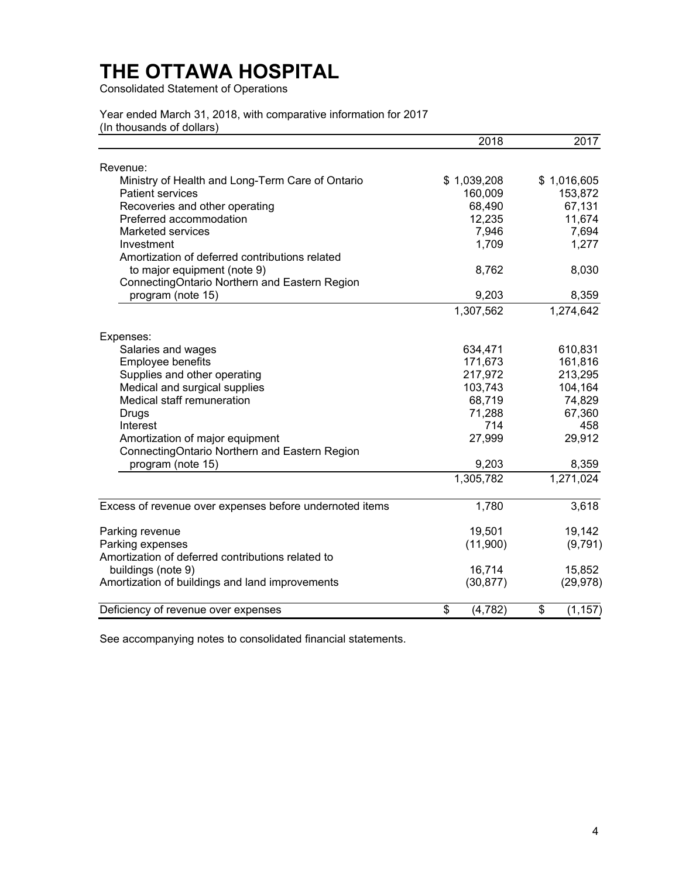Consolidated Statement of Operations

Year ended March 31, 2018, with comparative information for 2017 (In thousands of dollars)

|                                                         | 2018           | 2017           |
|---------------------------------------------------------|----------------|----------------|
| Revenue:                                                |                |                |
| Ministry of Health and Long-Term Care of Ontario        | \$1,039,208    | \$1,016,605    |
| <b>Patient services</b>                                 | 160,009        | 153,872        |
| Recoveries and other operating                          | 68,490         | 67,131         |
| Preferred accommodation                                 | 12,235         | 11,674         |
| <b>Marketed services</b>                                | 7,946          | 7,694          |
| Investment                                              | 1,709          | 1,277          |
| Amortization of deferred contributions related          |                |                |
| to major equipment (note 9)                             | 8,762          | 8,030          |
| ConnectingOntario Northern and Eastern Region           |                |                |
| program (note 15)                                       | 9,203          | 8,359          |
|                                                         | 1,307,562      | 1,274,642      |
| Expenses:                                               |                |                |
| Salaries and wages                                      | 634,471        | 610,831        |
| Employee benefits                                       | 171,673        | 161,816        |
| Supplies and other operating                            | 217,972        | 213,295        |
| Medical and surgical supplies                           | 103,743        | 104,164        |
| Medical staff remuneration                              | 68,719         | 74,829         |
| Drugs                                                   | 71,288         | 67,360         |
| Interest                                                | 714            | 458            |
| Amortization of major equipment                         | 27,999         | 29,912         |
| ConnectingOntario Northern and Eastern Region           |                |                |
| program (note 15)                                       | 9,203          | 8,359          |
|                                                         | 1,305,782      | 1,271,024      |
| Excess of revenue over expenses before undernoted items | 1,780          | 3,618          |
| Parking revenue                                         | 19,501         | 19,142         |
| Parking expenses                                        | (11,900)       | (9,791)        |
| Amortization of deferred contributions related to       |                |                |
| buildings (note 9)                                      | 16,714         | 15,852         |
| Amortization of buildings and land improvements         | (30, 877)      | (29, 978)      |
| Deficiency of revenue over expenses                     | \$<br>(4, 782) | \$<br>(1, 157) |

See accompanying notes to consolidated financial statements.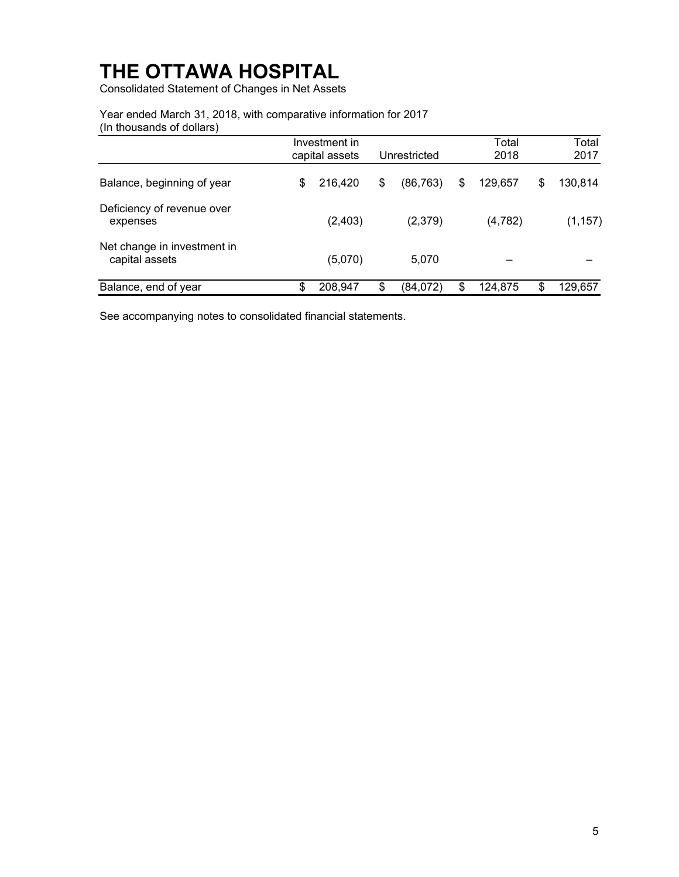Consolidated Statement of Changes in Net Assets

Year ended March 31, 2018, with comparative information for 2017 (In thousands of dollars)

|                                               | Investment in<br>capital assets | Unrestricted    |    | Total<br>2018 |    | Total<br>2017 |
|-----------------------------------------------|---------------------------------|-----------------|----|---------------|----|---------------|
| Balance, beginning of year                    | \$<br>216,420                   | \$<br>(86, 763) | \$ | 129,657       | \$ | 130,814       |
| Deficiency of revenue over<br>expenses        | (2, 403)                        | (2,379)         |    | (4, 782)      |    | (1, 157)      |
| Net change in investment in<br>capital assets | (5,070)                         | 5,070           |    |               |    |               |
| Balance, end of year                          | \$<br>208,947                   | \$<br>(84,072)  | S  | 124,875       | S  | 129,657       |

See accompanying notes to consolidated financial statements.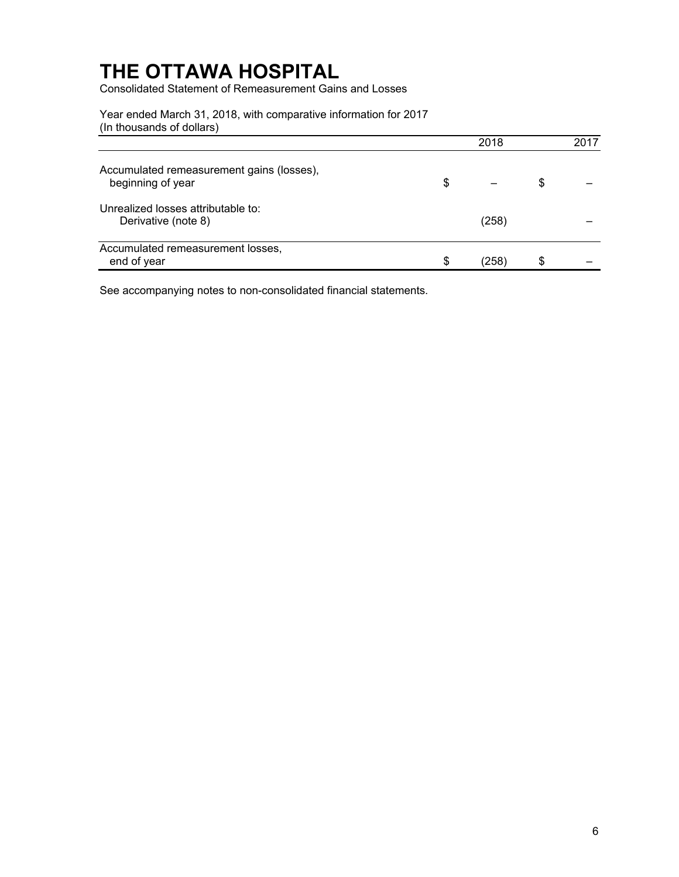Consolidated Statement of Remeasurement Gains and Losses

Year ended March 31, 2018, with comparative information for 2017 (In thousands of dollars)

|                                                                | 2018       | 2017 |
|----------------------------------------------------------------|------------|------|
| Accumulated remeasurement gains (losses),<br>beginning of year | \$         | \$   |
| Unrealized losses attributable to:<br>Derivative (note 8)      | (258)      |      |
| Accumulated remeasurement losses,<br>end of year               | \$<br>(258 | \$   |

See accompanying notes to non-consolidated financial statements.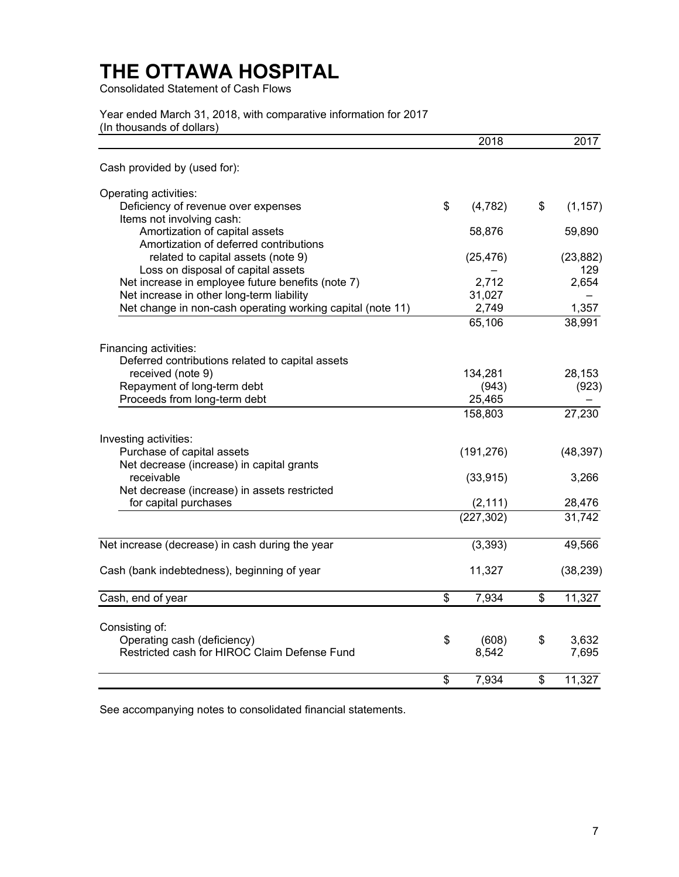Consolidated Statement of Cash Flows

Year ended March 31, 2018, with comparative information for 2017 (In thousands of dollars)

|                                                                                         | 2018           | 2017             |
|-----------------------------------------------------------------------------------------|----------------|------------------|
| Cash provided by (used for):                                                            |                |                  |
| Operating activities:                                                                   |                |                  |
| Deficiency of revenue over expenses                                                     | \$<br>(4, 782) | \$<br>(1, 157)   |
| Items not involving cash:                                                               |                |                  |
| Amortization of capital assets                                                          | 58,876         | 59,890           |
| Amortization of deferred contributions                                                  |                |                  |
| related to capital assets (note 9)                                                      | (25, 476)      | (23, 882)<br>129 |
| Loss on disposal of capital assets<br>Net increase in employee future benefits (note 7) | 2,712          | 2,654            |
| Net increase in other long-term liability                                               | 31,027         |                  |
| Net change in non-cash operating working capital (note 11)                              | 2,749          | 1,357            |
|                                                                                         | 65,106         | 38,991           |
|                                                                                         |                |                  |
| Financing activities:                                                                   |                |                  |
| Deferred contributions related to capital assets                                        |                |                  |
| received (note 9)                                                                       | 134,281        | 28,153           |
| Repayment of long-term debt                                                             | (943)          | (923)            |
| Proceeds from long-term debt                                                            | 25,465         |                  |
|                                                                                         | 158,803        | 27,230           |
| Investing activities:                                                                   |                |                  |
| Purchase of capital assets                                                              | (191, 276)     | (48, 397)        |
| Net decrease (increase) in capital grants                                               |                |                  |
| receivable                                                                              | (33, 915)      | 3,266            |
| Net decrease (increase) in assets restricted                                            |                |                  |
| for capital purchases                                                                   | (2, 111)       | 28,476           |
|                                                                                         | (227, 302)     | 31,742           |
| Net increase (decrease) in cash during the year                                         | (3, 393)       | 49,566           |
|                                                                                         |                |                  |
| Cash (bank indebtedness), beginning of year                                             | 11,327         | (38, 239)        |
| Cash, end of year                                                                       | \$<br>7,934    | \$<br>11,327     |
|                                                                                         |                |                  |
| Consisting of:                                                                          |                |                  |
| Operating cash (deficiency)                                                             | \$<br>(608)    | \$<br>3,632      |
| Restricted cash for HIROC Claim Defense Fund                                            | 8,542          | 7,695            |
|                                                                                         | \$<br>7,934    | \$<br>11,327     |

See accompanying notes to consolidated financial statements.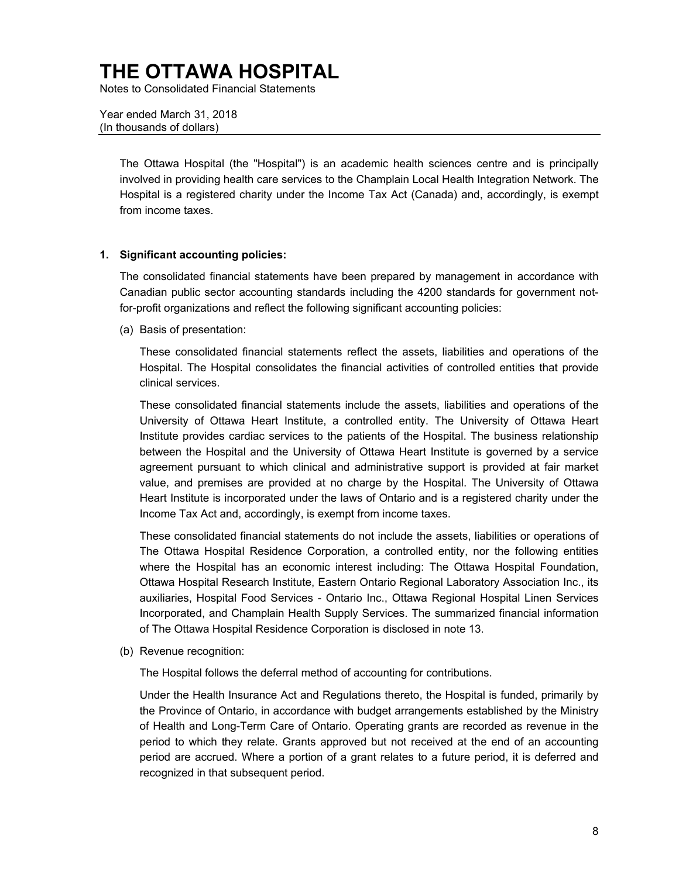Notes to Consolidated Financial Statements

Year ended March 31, 2018 (In thousands of dollars)

> The Ottawa Hospital (the "Hospital") is an academic health sciences centre and is principally Hospital is a registered charity under the Income Tax Act (Canada) and, accordingly, is exempt involved in providing health care services to the Champlain Local Health Integration Network. The from income taxes.

### **1. Significant accounting policies:**

 The consolidated financial statements have been prepared by management in accordance with Canadian public sector accounting standards including the 4200 standards for government notfor-profit organizations and reflect the following significant accounting policies:

(a) Basis of presentation:

These consolidated financial statements reflect the assets, liabilities and operations of the Hospital. The Hospital consolidates the financial activities of controlled entities that provide clinical services.

 between the Hospital and the University of Ottawa Heart Institute is governed by a service value, and premises are provided at no charge by the Hospital. The University of Ottawa These consolidated financial statements include the assets, liabilities and operations of the University of Ottawa Heart Institute, a controlled entity. The University of Ottawa Heart Institute provides cardiac services to the patients of the Hospital. The business relationship agreement pursuant to which clinical and administrative support is provided at fair market Heart Institute is incorporated under the laws of Ontario and is a registered charity under the Income Tax Act and, accordingly, is exempt from income taxes.

 The Ottawa Hospital Residence Corporation, a controlled entity, nor the following entities auxiliaries, Hospital Food Services - Ontario Inc., Ottawa Regional Hospital Linen Services Incorporated, and Champlain Health Supply Services. The summarized financial information These consolidated financial statements do not include the assets, liabilities or operations of where the Hospital has an economic interest including: The Ottawa Hospital Foundation, Ottawa Hospital Research Institute, Eastern Ontario Regional Laboratory Association Inc., its of The Ottawa Hospital Residence Corporation is disclosed in note 13.

(b) Revenue recognition:

The Hospital follows the deferral method of accounting for contributions.

 period are accrued. Where a portion of a grant relates to a future period, it is deferred and Under the Health Insurance Act and Regulations thereto, the Hospital is funded, primarily by the Province of Ontario, in accordance with budget arrangements established by the Ministry of Health and Long-Term Care of Ontario. Operating grants are recorded as revenue in the period to which they relate. Grants approved but not received at the end of an accounting recognized in that subsequent period.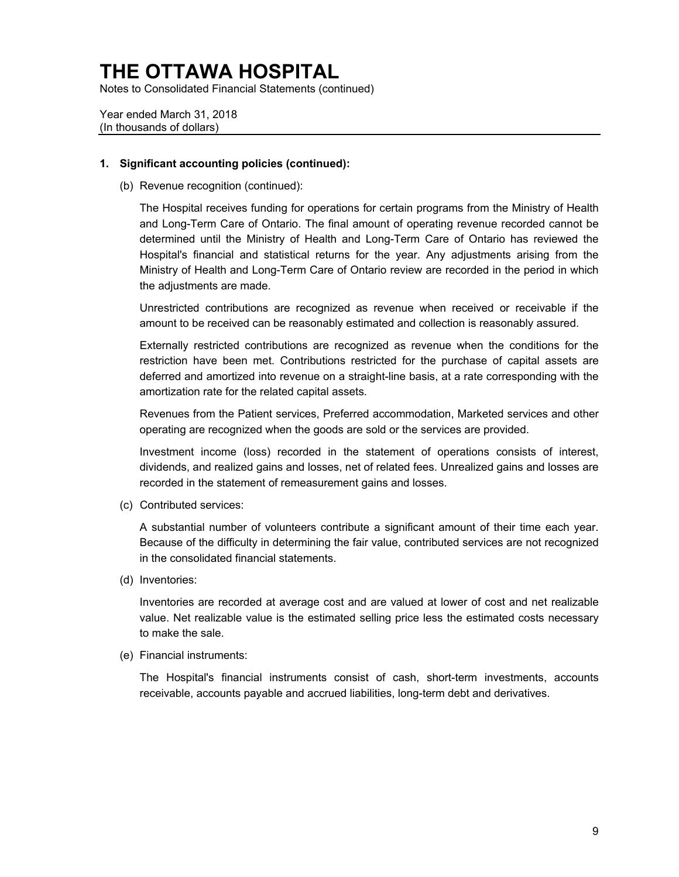Notes to Consolidated Financial Statements (continued)

Year ended March 31, 2018 (In thousands of dollars)

#### **1. Significant accounting policies (continued):**

(b) Revenue recognition (continued):

 determined until the Ministry of Health and Long-Term Care of Ontario has reviewed the Hospital's financial and statistical returns for the year. Any adjustments arising from the Ministry of Health and Long-Term Care of Ontario review are recorded in the period in which The Hospital receives funding for operations for certain programs from the Ministry of Health and Long-Term Care of Ontario. The final amount of operating revenue recorded cannot be the adjustments are made.

Unrestricted contributions are recognized as revenue when received or receivable if the amount to be received can be reasonably estimated and collection is reasonably assured.

 deferred and amortized into revenue on a straight-line basis, at a rate corresponding with the Externally restricted contributions are recognized as revenue when the conditions for the restriction have been met. Contributions restricted for the purchase of capital assets are amortization rate for the related capital assets.

 Revenues from the Patient services, Preferred accommodation, Marketed services and other operating are recognized when the goods are sold or the services are provided.

 Investment income (loss) recorded in the statement of operations consists of interest, dividends, and realized gains and losses, net of related fees. Unrealized gains and losses are recorded in the statement of remeasurement gains and losses.

(c) Contributed services:

A substantial number of volunteers contribute a significant amount of their time each year. Because of the difficulty in determining the fair value, contributed services are not recognized in the consolidated financial statements.

(d) Inventories:

 Inventories are recorded at average cost and are valued at lower of cost and net realizable value. Net realizable value is the estimated selling price less the estimated costs necessary to make the sale.

(e) Financial instruments:

The Hospital's financial instruments consist of cash, short-term investments, accounts receivable, accounts payable and accrued liabilities, long-term debt and derivatives.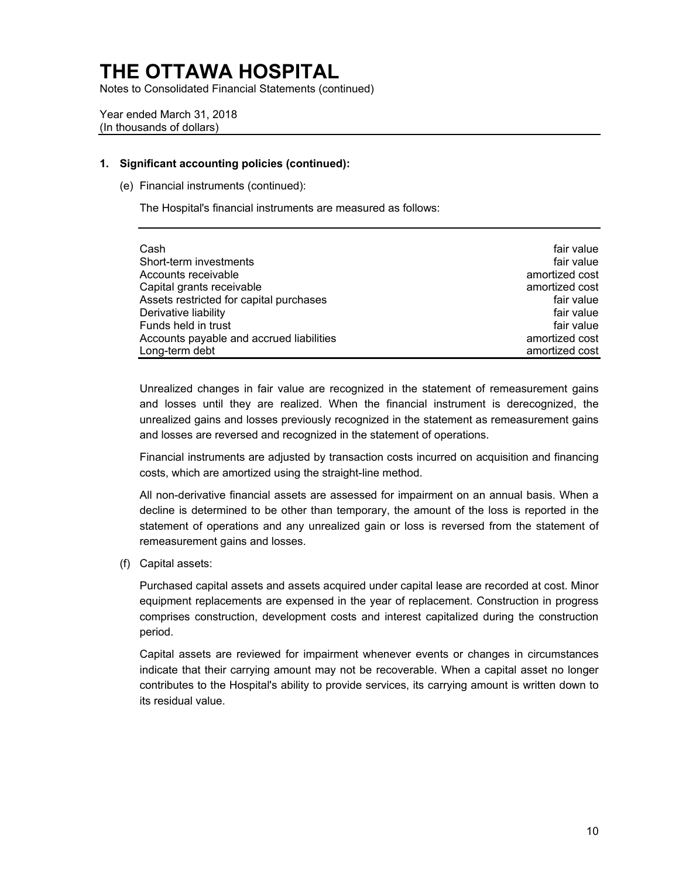Notes to Consolidated Financial Statements (continued)

Year ended March 31, 2018 (In thousands of dollars)

#### **1. Significant accounting policies (continued):**

(e) Financial instruments (continued):

The Hospital's financial instruments are measured as follows:

| Cash                                     | fair value     |
|------------------------------------------|----------------|
| Short-term investments                   | fair value     |
| Accounts receivable                      | amortized cost |
| Capital grants receivable                | amortized cost |
| Assets restricted for capital purchases  | fair value     |
| Derivative liability                     | fair value     |
| Funds held in trust                      | fair value     |
| Accounts payable and accrued liabilities | amortized cost |
| Long-term debt                           | amortized cost |

 Unrealized changes in fair value are recognized in the statement of remeasurement gains and losses until they are realized. When the financial instrument is derecognized, the unrealized gains and losses previously recognized in the statement as remeasurement gains and losses are reversed and recognized in the statement of operations.

 Financial instruments are adjusted by transaction costs incurred on acquisition and financing costs, which are amortized using the straight-line method.

 All non-derivative financial assets are assessed for impairment on an annual basis. When a decline is determined to be other than temporary, the amount of the loss is reported in the statement of operations and any unrealized gain or loss is reversed from the statement of remeasurement gains and losses.

(f) Capital assets:

 comprises construction, development costs and interest capitalized during the construction Purchased capital assets and assets acquired under capital lease are recorded at cost. Minor equipment replacements are expensed in the year of replacement. Construction in progress period.

 contributes to the Hospital's ability to provide services, its carrying amount is written down to Capital assets are reviewed for impairment whenever events or changes in circumstances indicate that their carrying amount may not be recoverable. When a capital asset no longer its residual value.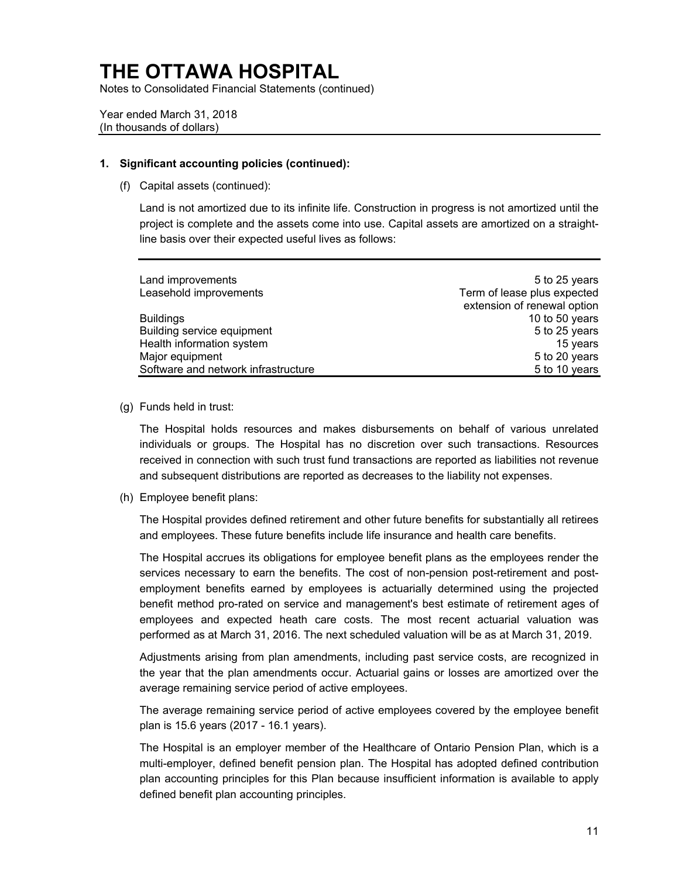Notes to Consolidated Financial Statements (continued)

Year ended March 31, 2018 (In thousands of dollars)

#### **1. Significant accounting policies (continued):**

(f) Capital assets (continued):

Land is not amortized due to its infinite life. Construction in progress is not amortized until the project is complete and the assets come into use. Capital assets are amortized on a straightline basis over their expected useful lives as follows:

| Land improvements                   | 5 to 25 years               |
|-------------------------------------|-----------------------------|
| Leasehold improvements              | Term of lease plus expected |
|                                     | extension of renewal option |
| <b>Buildings</b>                    | 10 to 50 years              |
| Building service equipment          | 5 to 25 years               |
| Health information system           | 15 years                    |
| Major equipment                     | 5 to 20 years               |
| Software and network infrastructure | 5 to 10 years               |
|                                     |                             |

(g) Funds held in trust:

The Hospital holds resources and makes disbursements on behalf of various unrelated individuals or groups. The Hospital has no discretion over such transactions. Resources received in connection with such trust fund transactions are reported as liabilities not revenue and subsequent distributions are reported as decreases to the liability not expenses.

(h) Employee benefit plans:

The Hospital provides defined retirement and other future benefits for substantially all retirees and employees. These future benefits include life insurance and health care benefits.

 services necessary to earn the benefits. The cost of non-pension post-retirement and post-The Hospital accrues its obligations for employee benefit plans as the employees render the employment benefits earned by employees is actuarially determined using the projected benefit method pro-rated on service and management's best estimate of retirement ages of employees and expected heath care costs. The most recent actuarial valuation was performed as at March 31, 2016. The next scheduled valuation will be as at March 31, 2019.

 the year that the plan amendments occur. Actuarial gains or losses are amortized over the Adjustments arising from plan amendments, including past service costs, are recognized in average remaining service period of active employees.

The average remaining service period of active employees covered by the employee benefit plan is 15.6 years (2017 - 16.1 years).

 The Hospital is an employer member of the Healthcare of Ontario Pension Plan, which is a multi-employer, defined benefit pension plan. The Hospital has adopted defined contribution plan accounting principles for this Plan because insufficient information is available to apply defined benefit plan accounting principles.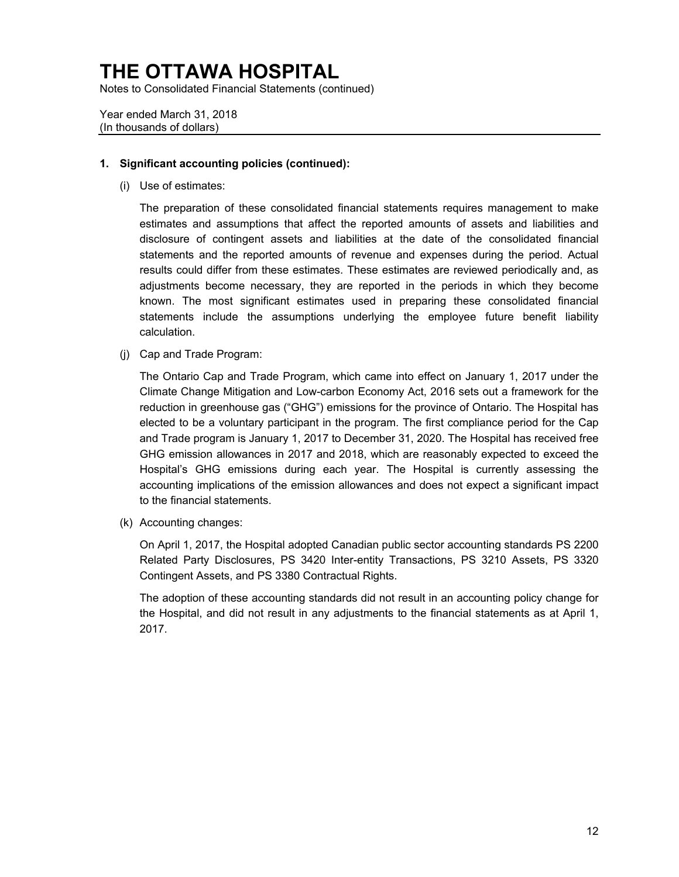Notes to Consolidated Financial Statements (continued)

Year ended March 31, 2018 (In thousands of dollars)

### **1. Significant accounting policies (continued):**

(i) Use of estimates:

 adjustments become necessary, they are reported in the periods in which they become The preparation of these consolidated financial statements requires management to make estimates and assumptions that affect the reported amounts of assets and liabilities and disclosure of contingent assets and liabilities at the date of the consolidated financial statements and the reported amounts of revenue and expenses during the period. Actual results could differ from these estimates. These estimates are reviewed periodically and, as known. The most significant estimates used in preparing these consolidated financial statements include the assumptions underlying the employee future benefit liability calculation.

(j) Cap and Trade Program:

 reduction in greenhouse gas ("GHG") emissions for the province of Ontario. The Hospital has elected to be a voluntary participant in the program. The first compliance period for the Cap GHG emission allowances in 2017 and 2018, which are reasonably expected to exceed the accounting implications of the emission allowances and does not expect a significant impact The Ontario Cap and Trade Program, which came into effect on January 1, 2017 under the Climate Change Mitigation and Low-carbon Economy Act, 2016 sets out a framework for the and Trade program is January 1, 2017 to December 31, 2020. The Hospital has received free Hospital's GHG emissions during each year. The Hospital is currently assessing the to the financial statements.

(k) Accounting changes:

On April 1, 2017, the Hospital adopted Canadian public sector accounting standards PS 2200 Related Party Disclosures, PS 3420 Inter-entity Transactions, PS 3210 Assets, PS 3320 Contingent Assets, and PS 3380 Contractual Rights.

The adoption of these accounting standards did not result in an accounting policy change for the Hospital, and did not result in any adjustments to the financial statements as at April 1, 2017.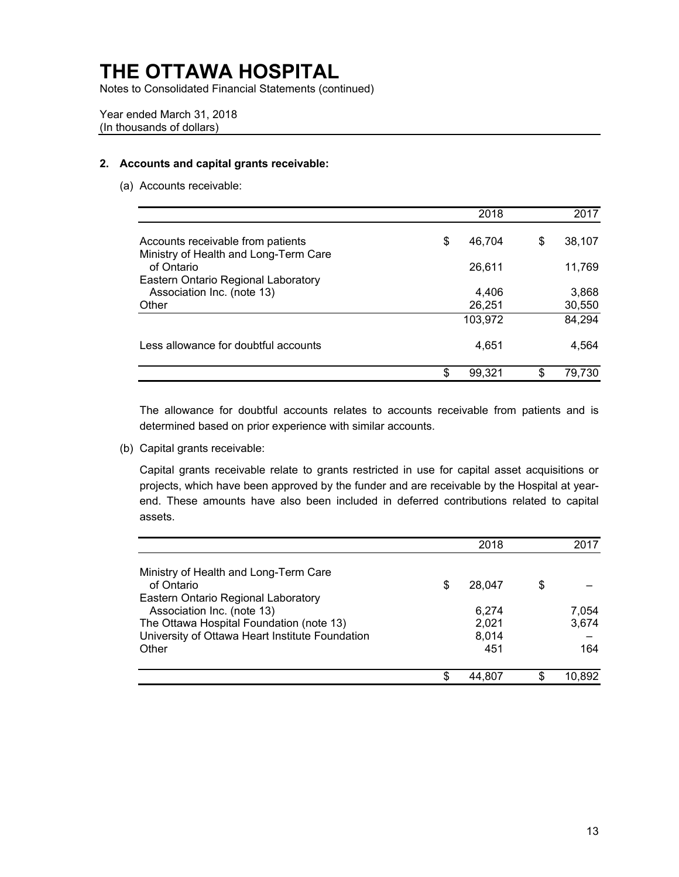Notes to Consolidated Financial Statements (continued)

Year ended March 31, 2018 (In thousands of dollars)

### **2. Accounts and capital grants receivable:**

(a) Accounts receivable:

|                                                                            | 2018         |     | 2017   |
|----------------------------------------------------------------------------|--------------|-----|--------|
| Accounts receivable from patients<br>Ministry of Health and Long-Term Care | \$<br>46.704 | \$  | 38,107 |
| of Ontario                                                                 | 26,611       |     | 11,769 |
| Eastern Ontario Regional Laboratory                                        |              |     |        |
| Association Inc. (note 13)                                                 | 4,406        |     | 3,868  |
| Other                                                                      | 26,251       |     | 30,550 |
|                                                                            | 103,972      |     | 84,294 |
| Less allowance for doubtful accounts                                       | 4,651        |     | 4,564  |
|                                                                            | \$<br>99,321 | \$. | 79,730 |

The allowance for doubtful accounts relates to accounts receivable from patients and is determined based on prior experience with similar accounts.

(b) Capital grants receivable:

Capital grants receivable relate to grants restricted in use for capital asset acquisitions or projects, which have been approved by the funder and are receivable by the Hospital at yearend. These amounts have also been included in deferred contributions related to capital assets.

|                                                                   |    | 2018           | 2017           |
|-------------------------------------------------------------------|----|----------------|----------------|
| Ministry of Health and Long-Term Care<br>of Ontario               | \$ | 28.047         | \$             |
| Eastern Ontario Regional Laboratory<br>Association Inc. (note 13) |    |                |                |
| The Ottawa Hospital Foundation (note 13)                          |    | 6,274<br>2,021 | 7,054<br>3,674 |
| University of Ottawa Heart Institute Foundation                   |    | 8,014          |                |
| Other                                                             |    | 451            | 164            |
|                                                                   | S  | 44.807         | 10.892         |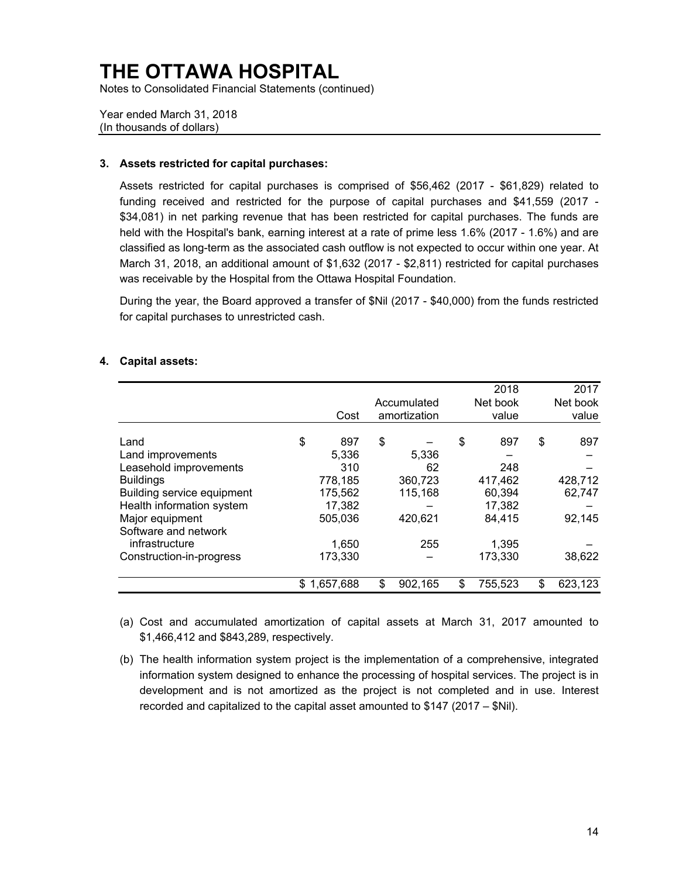Notes to Consolidated Financial Statements (continued)

Year ended March 31, 2018 (In thousands of dollars)

### **3. Assets restricted for capital purchases:**

 March 31, 2018, an additional amount of \$1,632 (2017 - \$2,811) restricted for capital purchases Assets restricted for capital purchases is comprised of \$56,462 (2017 - \$61,829) related to funding received and restricted for the purpose of capital purchases and \$41,559 (2017 - \$34,081) in net parking revenue that has been restricted for capital purchases. The funds are held with the Hospital's bank, earning interest at a rate of prime less 1.6% (2017 - 1.6%) and are classified as long-term as the associated cash outflow is not expected to occur within one year. At was receivable by the Hospital from the Ottawa Hospital Foundation.

 During the year, the Board approved a transfer of \$Nil (2017 - \$40,000) from the funds restricted for capital purchases to unrestricted cash.

|                            |    |           |               | 2018          | 2017          |
|----------------------------|----|-----------|---------------|---------------|---------------|
|                            |    |           | Accumulated   | Net book      | Net book      |
|                            |    | Cost      | amortization  | value         | value         |
|                            |    |           |               |               |               |
| Land                       | \$ | 897       | \$            | \$<br>897     | \$<br>897     |
| Land improvements          |    | 5,336     | 5.336         |               |               |
| Leasehold improvements     |    | 310       | 62            | 248           |               |
| <b>Buildings</b>           |    | 778,185   | 360,723       | 417,462       | 428,712       |
| Building service equipment |    | 175,562   | 115,168       | 60,394        | 62,747        |
| Health information system  |    | 17,382    |               | 17,382        |               |
| Major equipment            |    | 505,036   | 420,621       | 84.415        | 92,145        |
| Software and network       |    |           |               |               |               |
| infrastructure             |    | 1,650     | 255           | 1,395         |               |
| Construction-in-progress   |    | 173,330   |               | 173,330       | 38,622        |
|                            |    |           |               |               |               |
|                            | S  | 1,657,688 | \$<br>902,165 | \$<br>755,523 | \$<br>623,123 |

#### **4. Capital assets:**

(a) Cost and accumulated amortization of capital assets at March 31, 2017 amounted to \$1,466,412 and \$843,289, respectively.

 information system designed to enhance the processing of hospital services. The project is in (b) The health information system project is the implementation of a comprehensive, integrated development and is not amortized as the project is not completed and in use. Interest recorded and capitalized to the capital asset amounted to \$147 (2017 – \$Nil).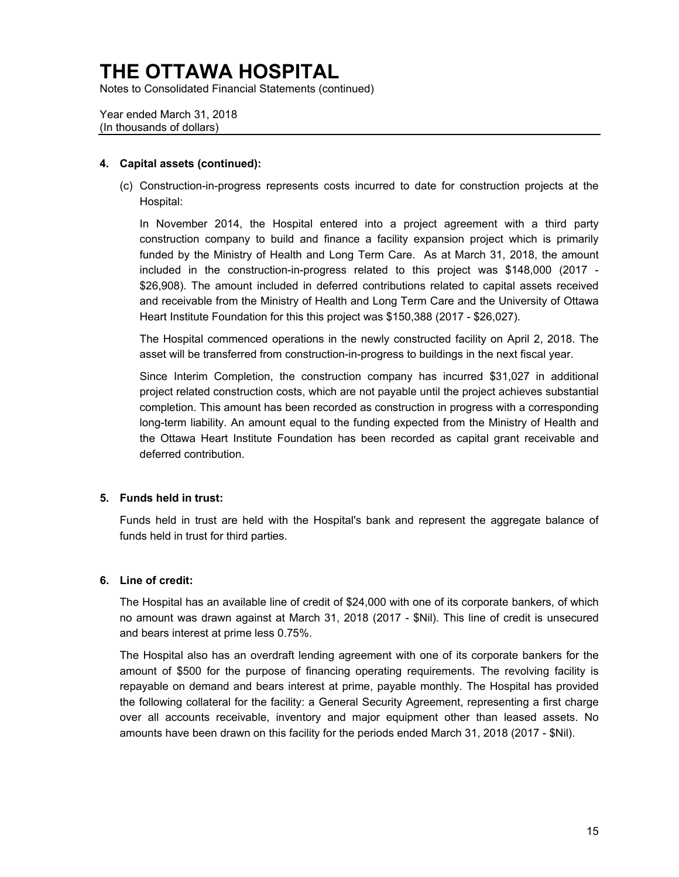Notes to Consolidated Financial Statements (continued)

Year ended March 31, 2018 (In thousands of dollars)

### **4. Capital assets (continued):**

 (c) Construction-in-progress represents costs incurred to date for construction projects at the Hospital:

 In November 2014, the Hospital entered into a project agreement with a third party included in the construction-in-progress related to this project was \$148,000 (2017 construction company to build and finance a facility expansion project which is primarily funded by the Ministry of Health and Long Term Care. As at March 31, 2018, the amount \$26,908). The amount included in deferred contributions related to capital assets received and receivable from the Ministry of Health and Long Term Care and the University of Ottawa Heart Institute Foundation for this this project was \$150,388 (2017 - \$26,027).

 The Hospital commenced operations in the newly constructed facility on April 2, 2018. The asset will be transferred from construction-in-progress to buildings in the next fiscal year.

 Since Interim Completion, the construction company has incurred \$31,027 in additional the Ottawa Heart Institute Foundation has been recorded as capital grant receivable and project related construction costs, which are not payable until the project achieves substantial completion. This amount has been recorded as construction in progress with a corresponding long-term liability. An amount equal to the funding expected from the Ministry of Health and deferred contribution.

### **5. Funds held in trust:**

 Funds held in trust are held with the Hospital's bank and represent the aggregate balance of funds held in trust for third parties.

### **6. Line of credit:**

The Hospital has an available line of credit of \$24,000 with one of its corporate bankers, of which no amount was drawn against at March 31, 2018 (2017 - \$Nil). This line of credit is unsecured and bears interest at prime less 0.75%.

 The Hospital also has an overdraft lending agreement with one of its corporate bankers for the repayable on demand and bears interest at prime, payable monthly. The Hospital has provided amount of \$500 for the purpose of financing operating requirements. The revolving facility is the following collateral for the facility: a General Security Agreement, representing a first charge over all accounts receivable, inventory and major equipment other than leased assets. No amounts have been drawn on this facility for the periods ended March 31, 2018 (2017 - \$Nil).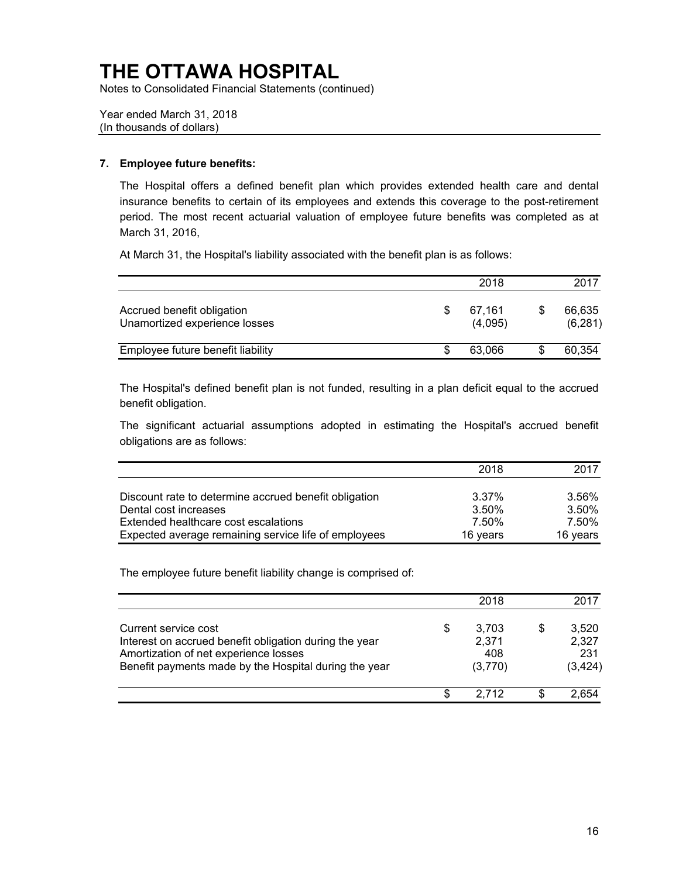Notes to Consolidated Financial Statements (continued)

Year ended March 31, 2018 (In thousands of dollars)

### **7. Employee future benefits:**

 The Hospital offers a defined benefit plan which provides extended health care and dental insurance benefits to certain of its employees and extends this coverage to the post-retirement period. The most recent actuarial valuation of employee future benefits was completed as at March 31, 2016,

At March 31, the Hospital's liability associated with the benefit plan is as follows:

|                                                             | 2018              | 2017               |
|-------------------------------------------------------------|-------------------|--------------------|
| Accrued benefit obligation<br>Unamortized experience losses | 67.161<br>(4,095) | 66,635<br>(6, 281) |
| Employee future benefit liability                           | 63.066            | 60,354             |

 The Hospital's defined benefit plan is not funded, resulting in a plan deficit equal to the accrued benefit obligation.

The significant actuarial assumptions adopted in estimating the Hospital's accrued benefit obligations are as follows:

|                                                       | 2018     | 2017     |
|-------------------------------------------------------|----------|----------|
| Discount rate to determine accrued benefit obligation | 3.37%    | 3.56%    |
| Dental cost increases                                 | 3.50%    | 3.50%    |
| Extended healthcare cost escalations                  | 7.50%    | 7.50%    |
| Expected average remaining service life of employees  | 16 years | 16 years |

The employee future benefit liability change is comprised of:

|                                                                                                                                                                                  |    | 2018                             | 2017                              |
|----------------------------------------------------------------------------------------------------------------------------------------------------------------------------------|----|----------------------------------|-----------------------------------|
| Current service cost<br>Interest on accrued benefit obligation during the year<br>Amortization of net experience losses<br>Benefit payments made by the Hospital during the year | \$ | 3,703<br>2.371<br>408<br>(3,770) | 3,520<br>2,327<br>231<br>(3, 424) |
|                                                                                                                                                                                  | S  | 2.712                            |                                   |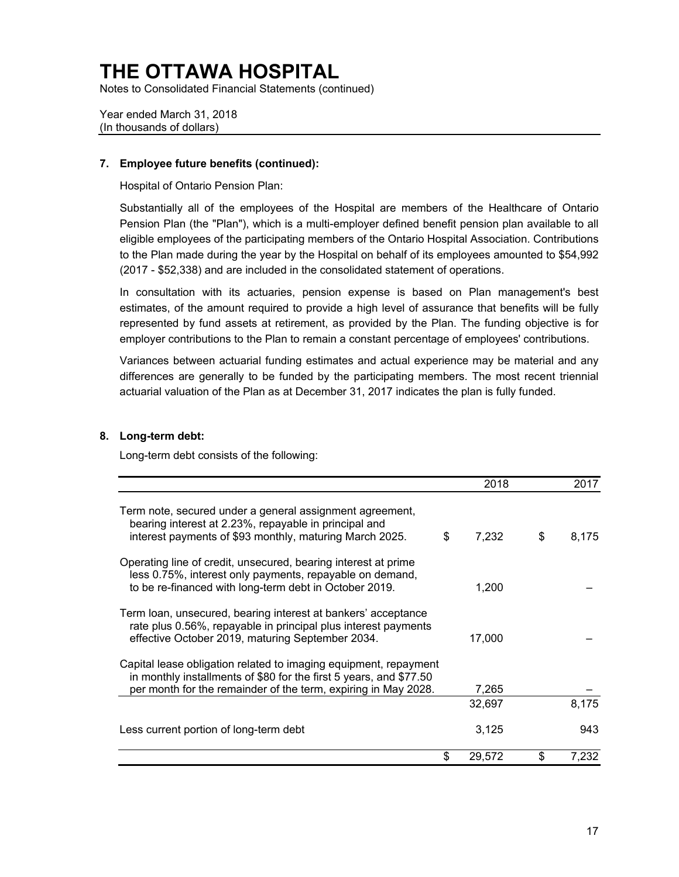Notes to Consolidated Financial Statements (continued)

Year ended March 31, 2018 (In thousands of dollars)

### **7. Employee future benefits (continued):**

Hospital of Ontario Pension Plan:

 Substantially all of the employees of the Hospital are members of the Healthcare of Ontario to the Plan made during the year by the Hospital on behalf of its employees amounted to \$54,992 Pension Plan (the "Plan"), which is a multi-employer defined benefit pension plan available to all eligible employees of the participating members of the Ontario Hospital Association. Contributions (2017 - \$52,338) and are included in the consolidated statement of operations.

 represented by fund assets at retirement, as provided by the Plan. The funding objective is for In consultation with its actuaries, pension expense is based on Plan management's best estimates, of the amount required to provide a high level of assurance that benefits will be fully employer contributions to the Plan to remain a constant percentage of employees' contributions.

 differences are generally to be funded by the participating members. The most recent triennial Variances between actuarial funding estimates and actual experience may be material and any actuarial valuation of the Plan as at December 31, 2017 indicates the plan is fully funded.

### **8. Long-term debt:**

Long-term debt consists of the following:

|                                                                                                                                                                                                          | 2018         | 2017        |
|----------------------------------------------------------------------------------------------------------------------------------------------------------------------------------------------------------|--------------|-------------|
| Term note, secured under a general assignment agreement,<br>bearing interest at 2.23%, repayable in principal and<br>interest payments of \$93 monthly, maturing March 2025.                             | \$<br>7,232  | \$<br>8,175 |
| Operating line of credit, unsecured, bearing interest at prime<br>less 0.75%, interest only payments, repayable on demand,<br>to be re-financed with long-term debt in October 2019.                     | 1,200        |             |
| Term loan, unsecured, bearing interest at bankers' acceptance<br>rate plus 0.56%, repayable in principal plus interest payments<br>effective October 2019, maturing September 2034.                      | 17,000       |             |
| Capital lease obligation related to imaging equipment, repayment<br>in monthly installments of \$80 for the first 5 years, and \$77.50<br>per month for the remainder of the term, expiring in May 2028. | 7,265        |             |
|                                                                                                                                                                                                          | 32,697       | 8,175       |
| Less current portion of long-term debt                                                                                                                                                                   | 3,125        | 943         |
|                                                                                                                                                                                                          | \$<br>29,572 | \$<br>7,232 |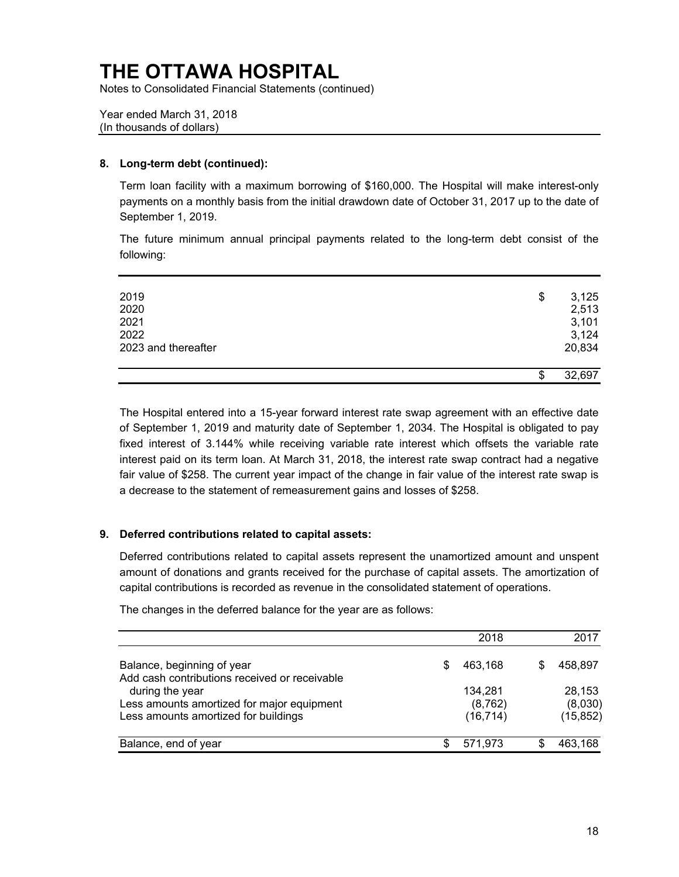Notes to Consolidated Financial Statements (continued)

Year ended March 31, 2018 (In thousands of dollars)

### **8. Long-term debt (continued):**

 payments on a monthly basis from the initial drawdown date of October 31, 2017 up to the date of Term loan facility with a maximum borrowing of \$160,000. The Hospital will make interest-only September 1, 2019.

The future minimum annual principal payments related to the long-term debt consist of the following:

| 2019                | \$<br>3,125  |
|---------------------|--------------|
| 2020                | 2,513        |
| 2021                | 3,101        |
| 2022                | 3,124        |
| 2023 and thereafter | 20,834       |
|                     |              |
|                     | \$<br>32,697 |

 of September 1, 2019 and maturity date of September 1, 2034. The Hospital is obligated to pay fixed interest of 3.144% while receiving variable rate interest which offsets the variable rate fair value of \$258. The current year impact of the change in fair value of the interest rate swap is a decrease to the statement of remeasurement gains and losses of \$258. The Hospital entered into a 15-year forward interest rate swap agreement with an effective date interest paid on its term loan. At March 31, 2018, the interest rate swap contract had a negative

### **9. Deferred contributions related to capital assets:**

 Deferred contributions related to capital assets represent the unamortized amount and unspent amount of donations and grants received for the purchase of capital assets. The amortization of capital contributions is recorded as revenue in the consolidated statement of operations.

The changes in the deferred balance for the year are as follows:

|                                                                                                                | 2018                | 2017              |
|----------------------------------------------------------------------------------------------------------------|---------------------|-------------------|
| Balance, beginning of year                                                                                     | 463,168             | 458,897           |
| Add cash contributions received or receivable<br>during the year<br>Less amounts amortized for major equipment | 134,281<br>(8, 762) | 28,153<br>(8,030) |
| Less amounts amortized for buildings                                                                           | (16, 714)           | (15, 852)         |
| Balance, end of year                                                                                           | 571,973             | 463,168           |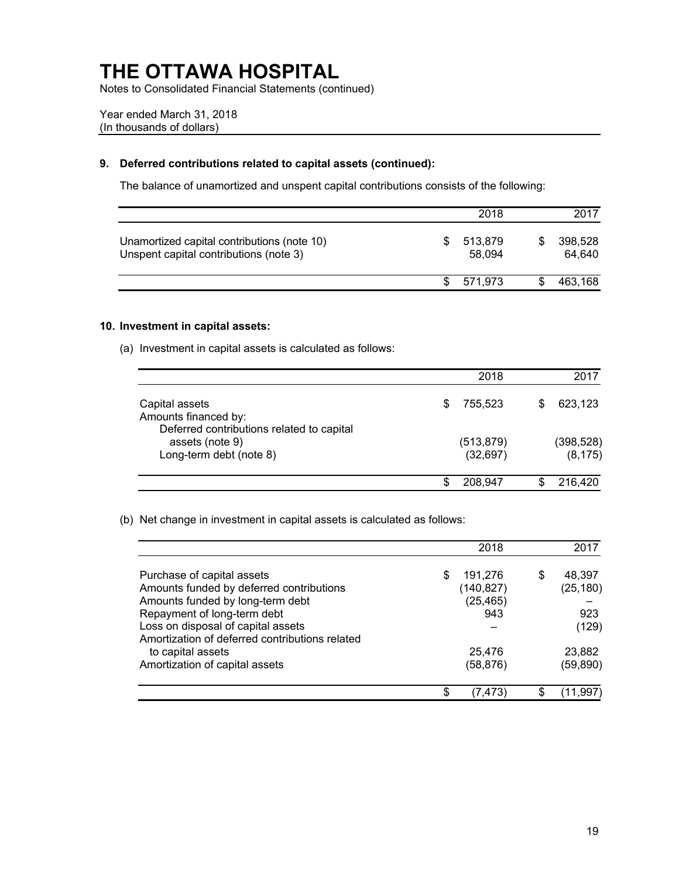Notes to Consolidated Financial Statements (continued)

Year ended March 31, 2018 (In thousands of dollars)

### **9. Deferred contributions related to capital assets (continued):**

The balance of unamortized and unspent capital contributions consists of the following:

|                                                                                       | 2018              | 2017              |
|---------------------------------------------------------------------------------------|-------------------|-------------------|
| Unamortized capital contributions (note 10)<br>Unspent capital contributions (note 3) | 513,879<br>58.094 | 398,528<br>64.640 |
|                                                                                       | 571,973           | 463,168           |

### **10. Investment in capital assets:**

(a) Investment in capital assets is calculated as follows:

|                                                                                     |   | 2018                    | 2017                   |
|-------------------------------------------------------------------------------------|---|-------------------------|------------------------|
| Capital assets<br>Amounts financed by:<br>Deferred contributions related to capital |   | 755.523                 | 623,123                |
| assets (note 9)<br>Long-term debt (note 8)                                          |   | (513, 879)<br>(32, 697) | (398, 528)<br>(8, 175) |
|                                                                                     | ዌ | 208,947                 | 216,420                |

(b) Net change in investment in capital assets is calculated as follows:

|                                                |    | 2018       |   | 2017      |
|------------------------------------------------|----|------------|---|-----------|
| Purchase of capital assets                     | S  | 191,276    | S | 48,397    |
| Amounts funded by deferred contributions       |    | (140, 827) |   | (25, 180) |
| Amounts funded by long-term debt               |    | (25, 465)  |   |           |
| Repayment of long-term debt                    |    | 943        |   | 923       |
| Loss on disposal of capital assets             |    |            |   | (129)     |
| Amortization of deferred contributions related |    |            |   |           |
| to capital assets                              |    | 25,476     |   | 23,882    |
| Amortization of capital assets                 |    | (58, 876)  |   | (59, 890) |
|                                                | ደ. | 47.5       |   |           |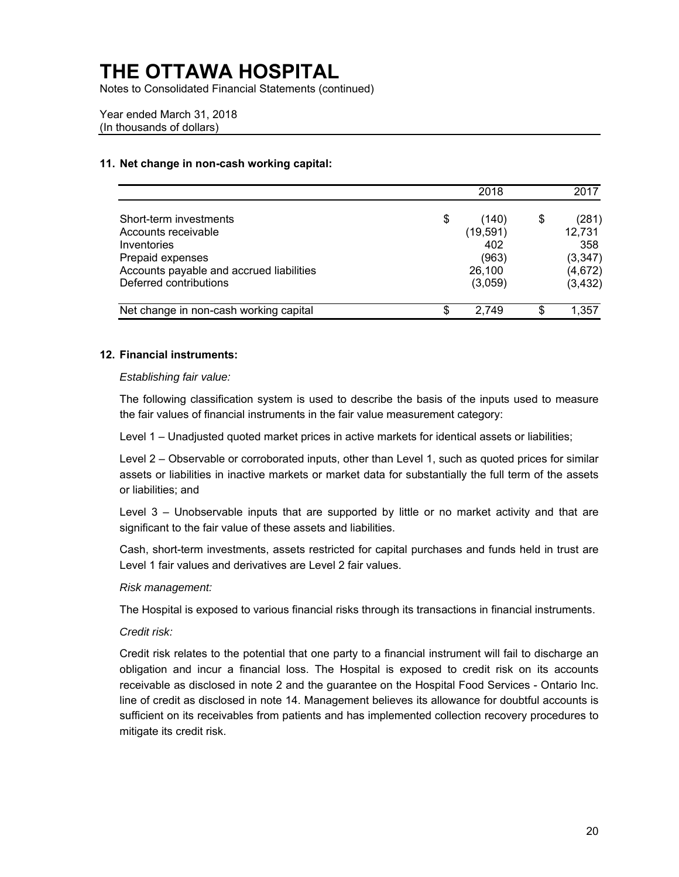Notes to Consolidated Financial Statements (continued)

Year ended March 31, 2018 (In thousands of dollars)

### **11. Net change in non-cash working capital:**

|                                          | 2018        |    | 2017     |
|------------------------------------------|-------------|----|----------|
| Short-term investments                   | \$<br>(140) | \$ | (281)    |
| Accounts receivable                      | (19, 591)   |    | 12,731   |
| Inventories                              | 402         |    | 358      |
| Prepaid expenses                         | (963)       |    | (3, 347) |
| Accounts payable and accrued liabilities | 26,100      |    | (4,672)  |
| Deferred contributions                   | (3,059)     |    | (3, 432) |
| Net change in non-cash working capital   | \$<br>2.749 | S  | 1,357    |

### **12. Financial instruments:**

### *Establishing fair value:*

 The following classification system is used to describe the basis of the inputs used to measure the fair values of financial instruments in the fair value measurement category:

Level 1 – Unadjusted quoted market prices in active markets for identical assets or liabilities;

 Level 2 – Observable or corroborated inputs, other than Level 1, such as quoted prices for similar assets or liabilities in inactive markets or market data for substantially the full term of the assets or liabilities; and

 Level 3 – Unobservable inputs that are supported by little or no market activity and that are significant to the fair value of these assets and liabilities.

Cash, short-term investments, assets restricted for capital purchases and funds held in trust are Level 1 fair values and derivatives are Level 2 fair values.

#### *Risk management:*

The Hospital is exposed to various financial risks through its transactions in financial instruments.

#### *Credit risk:*

 receivable as disclosed in note 2 and the guarantee on the Hospital Food Services - Ontario Inc. Credit risk relates to the potential that one party to a financial instrument will fail to discharge an obligation and incur a financial loss. The Hospital is exposed to credit risk on its accounts line of credit as disclosed in note 14. Management believes its allowance for doubtful accounts is sufficient on its receivables from patients and has implemented collection recovery procedures to mitigate its credit risk.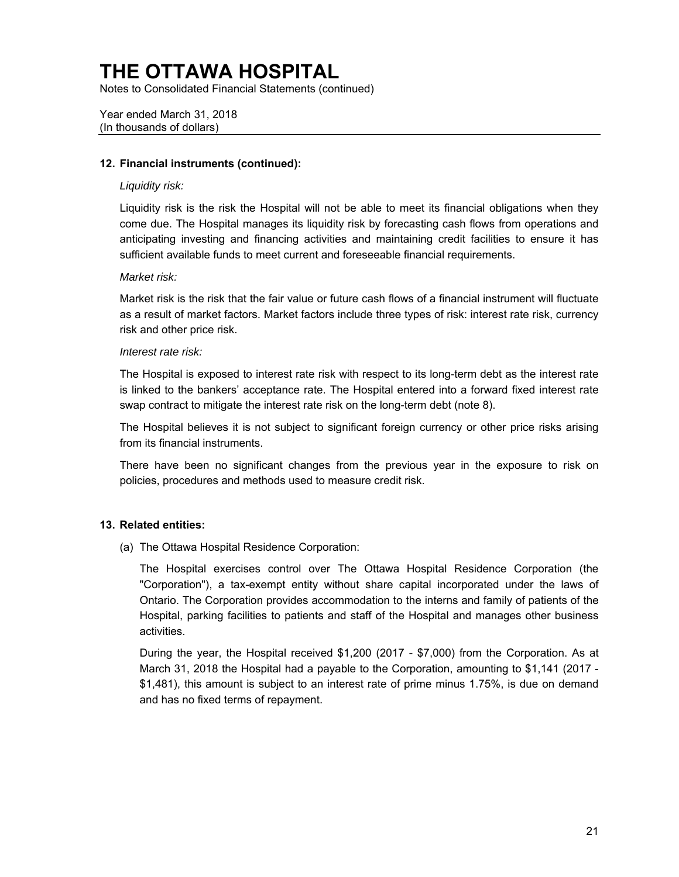Notes to Consolidated Financial Statements (continued)

Year ended March 31, 2018 (In thousands of dollars)

### **12. Financial instruments (continued):**

### *Liquidity risk:*

 come due. The Hospital manages its liquidity risk by forecasting cash flows from operations and Liquidity risk is the risk the Hospital will not be able to meet its financial obligations when they anticipating investing and financing activities and maintaining credit facilities to ensure it has sufficient available funds to meet current and foreseeable financial requirements.

### *Market risk:*

 Market risk is the risk that the fair value or future cash flows of a financial instrument will fluctuate as a result of market factors. Market factors include three types of risk: interest rate risk, currency risk and other price risk.

### *Interest rate risk:*

The Hospital is exposed to interest rate risk with respect to its long-term debt as the interest rate is linked to the bankers' acceptance rate. The Hospital entered into a forward fixed interest rate swap contract to mitigate the interest rate risk on the long-term debt (note 8).

 The Hospital believes it is not subject to significant foreign currency or other price risks arising from its financial instruments.

 There have been no significant changes from the previous year in the exposure to risk on policies, procedures and methods used to measure credit risk.

### **13. Related entities:**

(a) The Ottawa Hospital Residence Corporation:

 The Hospital exercises control over The Ottawa Hospital Residence Corporation (the "Corporation"), a tax-exempt entity without share capital incorporated under the laws of Ontario. The Corporation provides accommodation to the interns and family of patients of the Hospital, parking facilities to patients and staff of the Hospital and manages other business activities.

 March 31, 2018 the Hospital had a payable to the Corporation, amounting to \$1,141 (2017 - During the year, the Hospital received \$1,200 (2017 - \$7,000) from the Corporation. As at \$1,481), this amount is subject to an interest rate of prime minus 1.75%, is due on demand and has no fixed terms of repayment.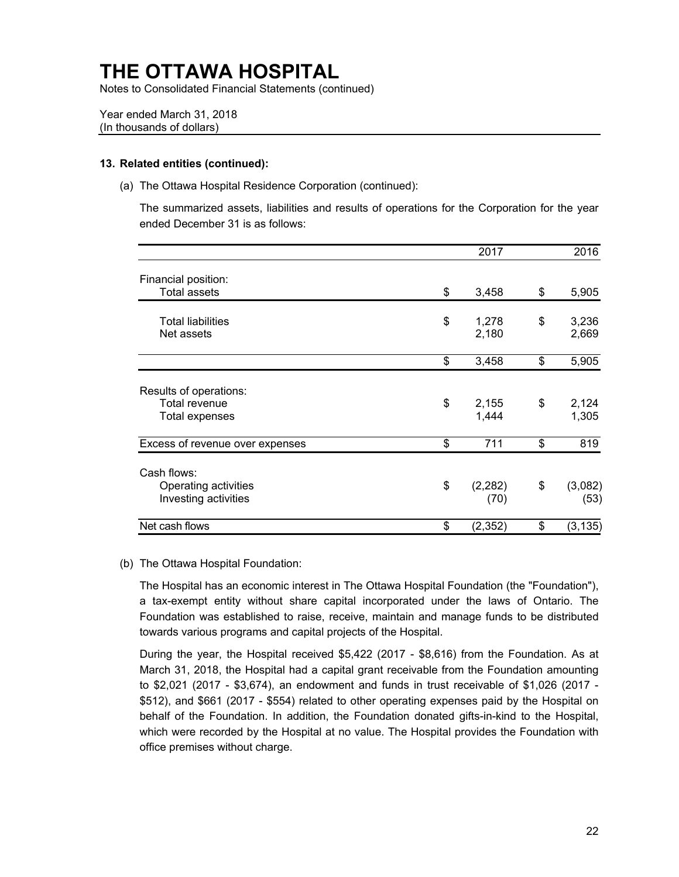Notes to Consolidated Financial Statements (continued)

Year ended March 31, 2018 (In thousands of dollars)

#### **13. Related entities (continued):**

(a) The Ottawa Hospital Residence Corporation (continued):

The summarized assets, liabilities and results of operations for the Corporation for the year ended December 31 is as follows:

|                                              | 2017                   | 2016                  |
|----------------------------------------------|------------------------|-----------------------|
| Financial position:<br><b>Total assets</b>   | \$<br>3,458            | \$<br>5,905           |
|                                              |                        |                       |
| <b>Total liabilities</b><br>Net assets       | \$<br>1,278<br>2,180   | \$<br>3,236<br>2,669  |
|                                              | \$<br>3,458            | \$<br>5,905           |
| Results of operations:                       |                        |                       |
| Total revenue<br><b>Total expenses</b>       | \$<br>2,155<br>1,444   | \$<br>2,124<br>1,305  |
| Excess of revenue over expenses              | \$<br>711              | \$<br>819             |
| Cash flows:                                  |                        |                       |
| Operating activities<br>Investing activities | \$<br>(2, 282)<br>(70) | \$<br>(3,082)<br>(53) |
| Net cash flows                               | \$<br>(2,352)          | \$<br>(3, 135)        |

#### (b) The Ottawa Hospital Foundation:

The Hospital has an economic interest in The Ottawa Hospital Foundation (the "Foundation"), a tax-exempt entity without share capital incorporated under the laws of Ontario. The Foundation was established to raise, receive, maintain and manage funds to be distributed towards various programs and capital projects of the Hospital.

 During the year, the Hospital received \$5,422 (2017 - \$8,616) from the Foundation. As at to \$2,021 (2017 - \$3,674), an endowment and funds in trust receivable of \$1,026 (2017 - \$512), and \$661 (2017 - \$554) related to other operating expenses paid by the Hospital on March 31, 2018, the Hospital had a capital grant receivable from the Foundation amounting behalf of the Foundation. In addition, the Foundation donated gifts-in-kind to the Hospital, which were recorded by the Hospital at no value. The Hospital provides the Foundation with office premises without charge.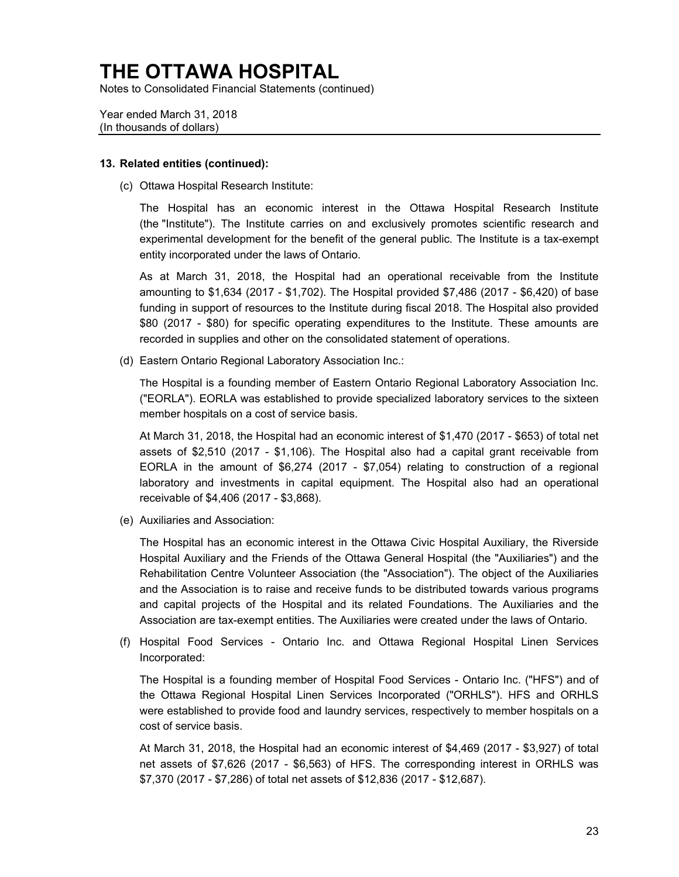Notes to Consolidated Financial Statements (continued)

Year ended March 31, 2018 (In thousands of dollars)

#### **13. Related entities (continued):**

(c) Ottawa Hospital Research Institute:

 experimental development for the benefit of the general public. The Institute is a tax-exempt The Hospital has an economic interest in the Ottawa Hospital Research Institute (the "Institute"). The Institute carries on and exclusively promotes scientific research and entity incorporated under the laws of Ontario.

 As at March 31, 2018, the Hospital had an operational receivable from the Institute amounting to \$1,634 (2017 - \$1,702). The Hospital provided \$7,486 (2017 - \$6,420) of base funding in support of resources to the Institute during fiscal 2018. The Hospital also provided \$80 (2017 - \$80) for specific operating expenditures to the Institute. These amounts are recorded in supplies and other on the consolidated statement of operations.

(d) Eastern Ontario Regional Laboratory Association Inc.:

 member hospitals on a cost of service basis. The Hospital is a founding member of Eastern Ontario Regional Laboratory Association Inc. ("EORLA"). EORLA was established to provide specialized laboratory services to the sixteen

 At March 31, 2018, the Hospital had an economic interest of \$1,470 (2017 - \$653) of total net assets of \$2,510 (2017 - \$1,106). The Hospital also had a capital grant receivable from EORLA in the amount of \$6,274 (2017 - \$7,054) relating to construction of a regional laboratory and investments in capital equipment. The Hospital also had an operational receivable of \$4,406 (2017 - \$3,868).

(e) Auxiliaries and Association:

 Hospital Auxiliary and the Friends of the Ottawa General Hospital (the "Auxiliaries") and the and capital projects of the Hospital and its related Foundations. The Auxiliaries and the The Hospital has an economic interest in the Ottawa Civic Hospital Auxiliary, the Riverside Rehabilitation Centre Volunteer Association (the "Association"). The object of the Auxiliaries and the Association is to raise and receive funds to be distributed towards various programs Association are tax-exempt entities. The Auxiliaries were created under the laws of Ontario.

 (f) Hospital Food Services - Ontario Inc. and Ottawa Regional Hospital Linen Services Incorporated:

 The Hospital is a founding member of Hospital Food Services - Ontario Inc. ("HFS") and of the Ottawa Regional Hospital Linen Services Incorporated ("ORHLS"). HFS and ORHLS were established to provide food and laundry services, respectively to member hospitals on a cost of service basis.

 At March 31, 2018, the Hospital had an economic interest of \$4,469 (2017 - \$3,927) of total net assets of \$7,626 (2017 - \$6,563) of HFS. The corresponding interest in ORHLS was \$7,370 (2017 - \$7,286) of total net assets of \$12,836 (2017 - \$12,687).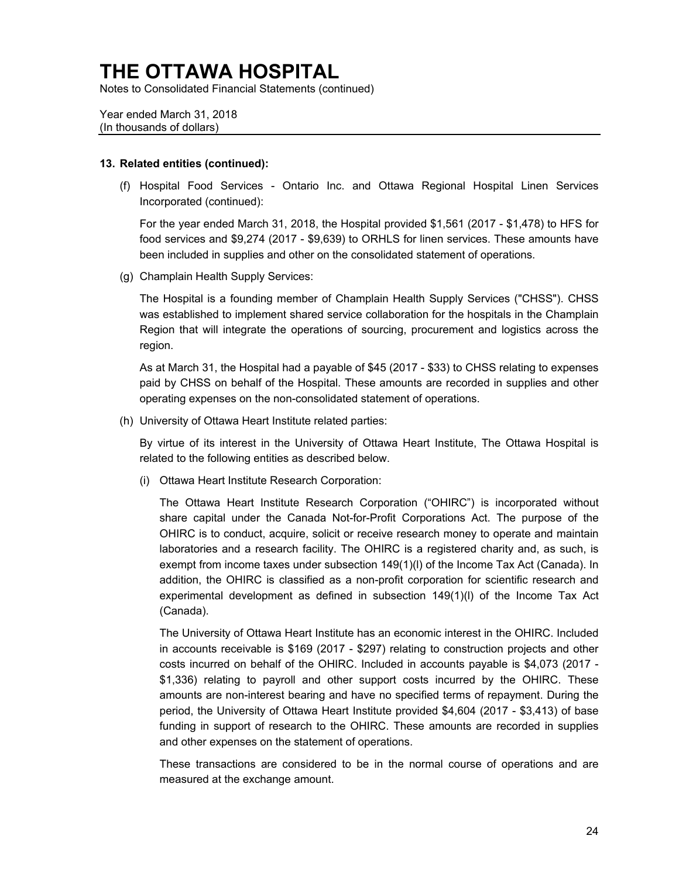Notes to Consolidated Financial Statements (continued)

Year ended March 31, 2018 (In thousands of dollars)

#### **13. Related entities (continued):**

 (f) Hospital Food Services - Ontario Inc. and Ottawa Regional Hospital Linen Services Incorporated (continued):

For the year ended March 31, 2018, the Hospital provided \$1,561 (2017 - \$1,478) to HFS for food services and \$9,274 (2017 - \$9,639) to ORHLS for linen services. These amounts have been included in supplies and other on the consolidated statement of operations.

(g) Champlain Health Supply Services:

 The Hospital is a founding member of Champlain Health Supply Services ("CHSS"). CHSS was established to implement shared service collaboration for the hospitals in the Champlain Region that will integrate the operations of sourcing, procurement and logistics across the region.

As at March 31, the Hospital had a payable of \$45 (2017 - \$33) to CHSS relating to expenses paid by CHSS on behalf of the Hospital. These amounts are recorded in supplies and other operating expenses on the non-consolidated statement of operations.

(h) University of Ottawa Heart Institute related parties:

By virtue of its interest in the University of Ottawa Heart Institute, The Ottawa Hospital is related to the following entities as described below.

(i) Ottawa Heart Institute Research Corporation:

 The Ottawa Heart Institute Research Corporation ("OHIRC") is incorporated without OHIRC is to conduct, acquire, solicit or receive research money to operate and maintain laboratories and a research facility. The OHIRC is a registered charity and, as such, is experimental development as defined in subsection 149(1)(l) of the Income Tax Act share capital under the Canada Not-for-Profit Corporations Act. The purpose of the exempt from income taxes under subsection 149(1)(l) of the Income Tax Act (Canada). In addition, the OHIRC is classified as a non-profit corporation for scientific research and (Canada).

 in accounts receivable is \$169 (2017 - \$297) relating to construction projects and other costs incurred on behalf of the OHIRC. Included in accounts payable is \$4,073 (2017 - funding in support of research to the OHIRC. These amounts are recorded in supplies The University of Ottawa Heart Institute has an economic interest in the OHIRC. Included \$1,336) relating to payroll and other support costs incurred by the OHIRC. These amounts are non-interest bearing and have no specified terms of repayment. During the period, the University of Ottawa Heart Institute provided \$4,604 (2017 - \$3,413) of base and other expenses on the statement of operations.

These transactions are considered to be in the normal course of operations and are measured at the exchange amount.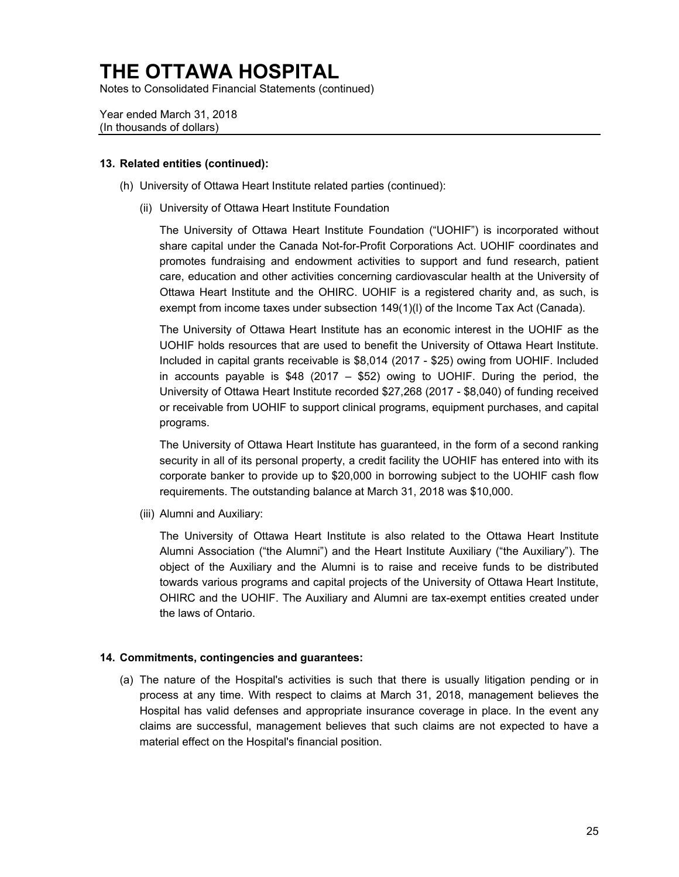Notes to Consolidated Financial Statements (continued)

Year ended March 31, 2018 (In thousands of dollars)

#### **13. Related entities (continued):**

- (h) University of Ottawa Heart Institute related parties (continued):
	- (ii) University of Ottawa Heart Institute Foundation

 The University of Ottawa Heart Institute Foundation ("UOHIF") is incorporated without share capital under the Canada Not-for-Profit Corporations Act. UOHIF coordinates and promotes fundraising and endowment activities to support and fund research, patient care, education and other activities concerning cardiovascular health at the University of Ottawa Heart Institute and the OHIRC. UOHIF is a registered charity and, as such, is exempt from income taxes under subsection 149(1)(I) of the Income Tax Act (Canada).

 The University of Ottawa Heart Institute has an economic interest in the UOHIF as the UOHIF holds resources that are used to benefit the University of Ottawa Heart Institute. Included in capital grants receivable is \$8,014 (2017 - \$25) owing from UOHIF. Included in accounts payable is \$48 (2017 – \$52) owing to UOHIF. During the period, the University of Ottawa Heart Institute recorded \$27,268 (2017 - \$8,040) of funding received or receivable from UOHIF to support clinical programs, equipment purchases, and capital programs.

 The University of Ottawa Heart Institute has guaranteed, in the form of a second ranking corporate banker to provide up to \$20,000 in borrowing subject to the UOHIF cash flow security in all of its personal property, a credit facility the UOHIF has entered into with its requirements. The outstanding balance at March 31, 2018 was \$10,000.

(iii) Alumni and Auxiliary:

 object of the Auxiliary and the Alumni is to raise and receive funds to be distributed The University of Ottawa Heart Institute is also related to the Ottawa Heart Institute Alumni Association ("the Alumni") and the Heart Institute Auxiliary ("the Auxiliary"). The towards various programs and capital projects of the University of Ottawa Heart Institute, OHIRC and the UOHIF. The Auxiliary and Alumni are tax-exempt entities created under the laws of Ontario.

#### **14. Commitments, contingencies and guarantees:**

(a) The nature of the Hospital's activities is such that there is usually litigation pending or in process at any time. With respect to claims at March 31, 2018, management believes the Hospital has valid defenses and appropriate insurance coverage in place. In the event any claims are successful, management believes that such claims are not expected to have a material effect on the Hospital's financial position.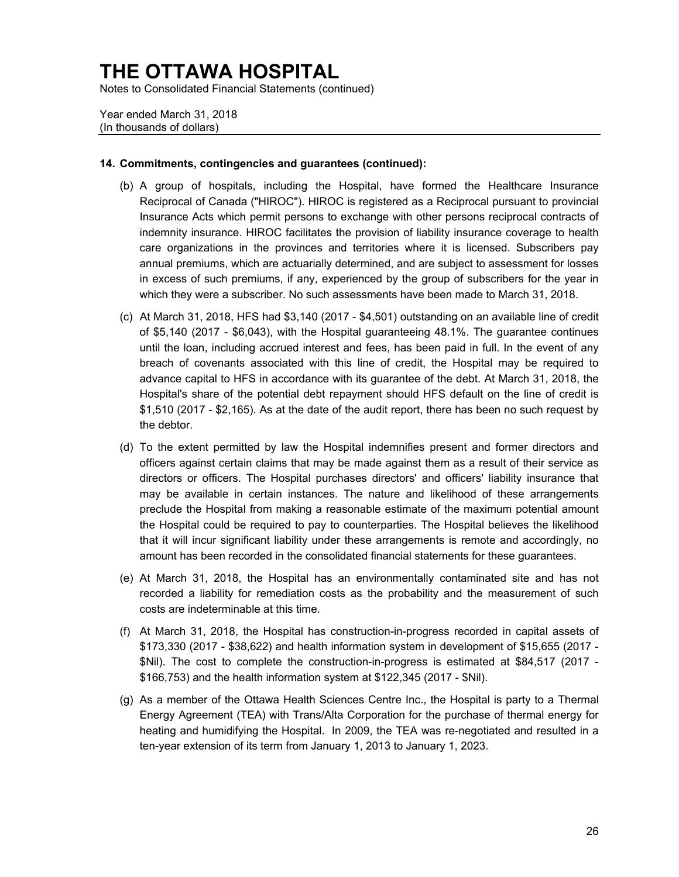Notes to Consolidated Financial Statements (continued)

Year ended March 31, 2018 (In thousands of dollars)

#### **14. Commitments, contingencies and guarantees (continued):**

- Reciprocal of Canada ("HIROC"). HIROC is registered as a Reciprocal pursuant to provincial indemnity insurance. HIROC facilitates the provision of liability insurance coverage to health (b) A group of hospitals, including the Hospital, have formed the Healthcare Insurance Insurance Acts which permit persons to exchange with other persons reciprocal contracts of care organizations in the provinces and territories where it is licensed. Subscribers pay annual premiums, which are actuarially determined, and are subject to assessment for losses in excess of such premiums, if any, experienced by the group of subscribers for the year in which they were a subscriber. No such assessments have been made to March 31, 2018.
- breach of covenants associated with this line of credit, the Hospital may be required to (c) At March 31, 2018, HFS had \$3,140 (2017 - \$4,501) outstanding on an available line of credit of \$5,140 (2017 - \$6,043), with the Hospital guaranteeing 48.1%. The guarantee continues until the loan, including accrued interest and fees, has been paid in full. In the event of any advance capital to HFS in accordance with its guarantee of the debt. At March 31, 2018, the Hospital's share of the potential debt repayment should HFS default on the line of credit is \$1,510 (2017 - \$2,165). As at the date of the audit report, there has been no such request by the debtor.
- officers against certain claims that may be made against them as a result of their service as preclude the Hospital from making a reasonable estimate of the maximum potential amount (d) To the extent permitted by law the Hospital indemnifies present and former directors and directors or officers. The Hospital purchases directors' and officers' liability insurance that may be available in certain instances. The nature and likelihood of these arrangements the Hospital could be required to pay to counterparties. The Hospital believes the likelihood that it will incur significant liability under these arrangements is remote and accordingly, no amount has been recorded in the consolidated financial statements for these guarantees.
- recorded a liability for remediation costs as the probability and the measurement of such (e) At March 31, 2018, the Hospital has an environmentally contaminated site and has not costs are indeterminable at this time.
- (f) At March 31, 2018, the Hospital has construction-in-progress recorded in capital assets of \$173,330 (2017 - \$38,622) and health information system in development of \$15,655 (2017 - \$Nil). The cost to complete the construction-in-progress is estimated at \$84,517 (2017 - \$166,753) and the health information system at \$122,345 (2017 - \$Nil).
- (g) As a member of the Ottawa Health Sciences Centre Inc., the Hospital is party to a Thermal heating and humidifying the Hospital. In 2009, the TEA was re-negotiated and resulted in a Energy Agreement (TEA) with Trans/Alta Corporation for the purchase of thermal energy for ten-year extension of its term from January 1, 2013 to January 1, 2023.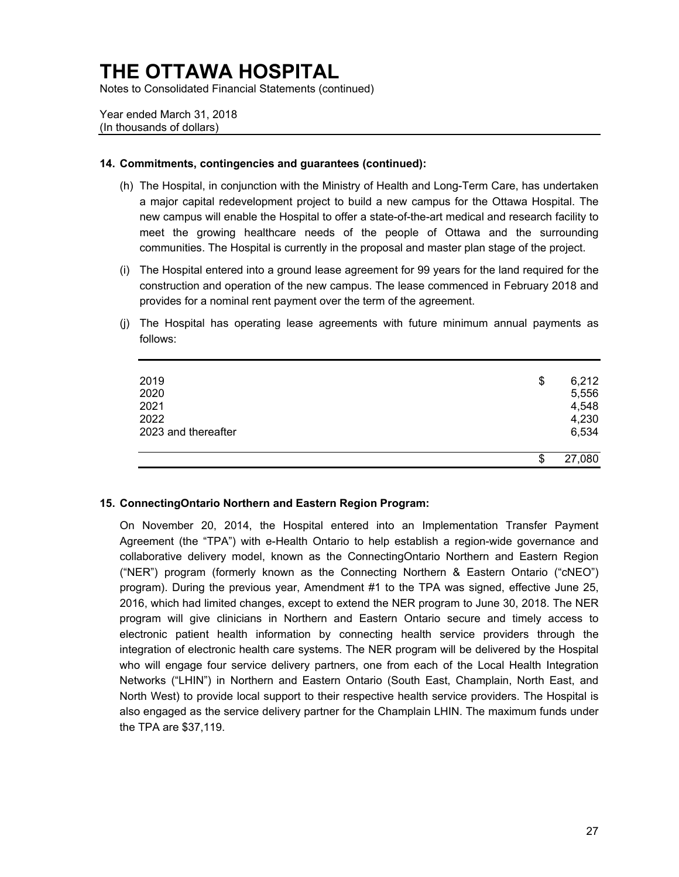Notes to Consolidated Financial Statements (continued)

Year ended March 31, 2018 (In thousands of dollars)

#### **14. Commitments, contingencies and guarantees (continued):**

- a major capital redevelopment project to build a new campus for the Ottawa Hospital. The (h) The Hospital, in conjunction with the Ministry of Health and Long-Term Care, has undertaken new campus will enable the Hospital to offer a state-of-the-art medical and research facility to meet the growing healthcare needs of the people of Ottawa and the surrounding communities. The Hospital is currently in the proposal and master plan stage of the project.
- construction and operation of the new campus. The lease commenced in February 2018 and (i) The Hospital entered into a ground lease agreement for 99 years for the land required for the provides for a nominal rent payment over the term of the agreement.
- (j) The Hospital has operating lease agreements with future minimum annual payments as follows:

| 2019<br>2020<br>2021<br>2022<br>2023 and thereafter | \$<br>6,212<br>5,556<br>4,548<br>4,230<br>6,534 |
|-----------------------------------------------------|-------------------------------------------------|
|                                                     | \$<br>27,080                                    |

### **15. ConnectingOntario Northern and Eastern Region Program:**

 collaborative delivery model, known as the ConnectingOntario Northern and Eastern Region program). During the previous year, Amendment #1 to the TPA was signed, effective June 25, 2016, which had limited changes, except to extend the NER program to June 30, 2018. The NER electronic patient health information by connecting health service providers through the Networks ("LHIN") in Northern and Eastern Ontario (South East, Champlain, North East, and North West) to provide local support to their respective health service providers. The Hospital is On November 20, 2014, the Hospital entered into an Implementation Transfer Payment Agreement (the "TPA") with e-Health Ontario to help establish a region-wide governance and ("NER") program (formerly known as the Connecting Northern & Eastern Ontario ("cNEO") program will give clinicians in Northern and Eastern Ontario secure and timely access to integration of electronic health care systems. The NER program will be delivered by the Hospital who will engage four service delivery partners, one from each of the Local Health Integration also engaged as the service delivery partner for the Champlain LHIN. The maximum funds under the TPA are \$37,119.